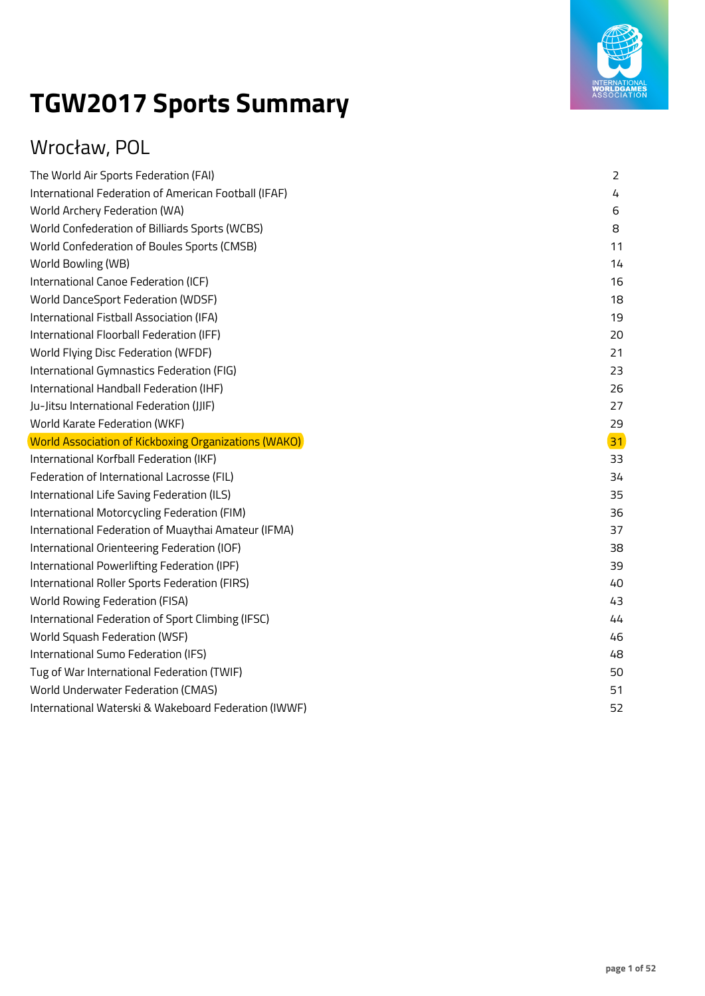

# **TGW2017 Sports Summary**

## Wrocław, POL

| The World Air Sports Federation (FAI)                       | 2  |
|-------------------------------------------------------------|----|
| International Federation of American Football (IFAF)        | 4  |
| World Archery Federation (WA)                               | 6  |
| World Confederation of Billiards Sports (WCBS)              | 8  |
| World Confederation of Boules Sports (CMSB)                 | 11 |
| World Bowling (WB)                                          | 14 |
| International Canoe Federation (ICF)                        | 16 |
| World DanceSport Federation (WDSF)                          | 18 |
| International Fistball Association (IFA)                    | 19 |
| International Floorball Federation (IFF)                    | 20 |
| World Flying Disc Federation (WFDF)                         | 21 |
| International Gymnastics Federation (FIG)                   | 23 |
| International Handball Federation (IHF)                     | 26 |
| Ju-Jitsu International Federation (JJIF)                    | 27 |
| World Karate Federation (WKF)                               | 29 |
| <b>World Association of Kickboxing Organizations (WAKO)</b> | 31 |
| International Korfball Federation (IKF)                     | 33 |
| Federation of International Lacrosse (FIL)                  | 34 |
| International Life Saving Federation (ILS)                  | 35 |
| International Motorcycling Federation (FIM)                 | 36 |
| International Federation of Muaythai Amateur (IFMA)         | 37 |
| International Orienteering Federation (IOF)                 | 38 |
| International Powerlifting Federation (IPF)                 | 39 |
| International Roller Sports Federation (FIRS)               | 40 |
| <b>World Rowing Federation (FISA)</b>                       | 43 |
| International Federation of Sport Climbing (IFSC)           | 44 |
| World Squash Federation (WSF)                               | 46 |
| International Sumo Federation (IFS)                         | 48 |
| Tug of War International Federation (TWIF)                  | 50 |
| World Underwater Federation (CMAS)                          | 51 |
| International Waterski & Wakeboard Federation (IWWF)        | 52 |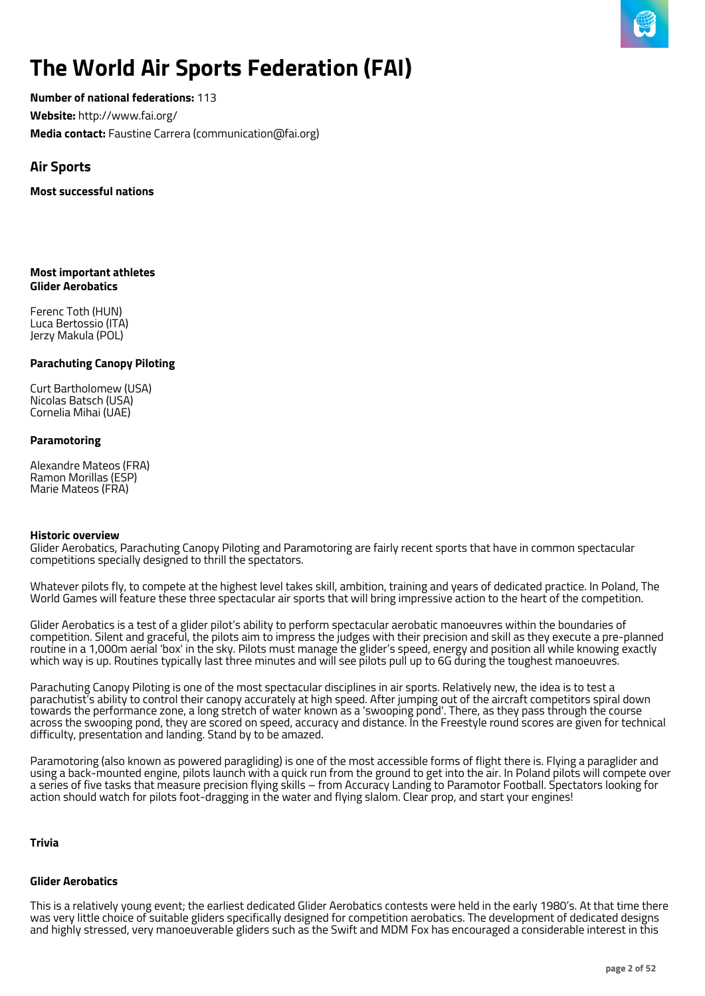## <span id="page-1-0"></span>**The World Air Sports Federation (FAI)**

**Number of national federations:** 113 **Website:** http://www.fai.org/ **Media contact:** Faustine Carrera (communication@fai.org)

## **Air Sports**

**Most successful nations**

#### **Most important athletes Glider Aerobatics**

Ferenc Toth (HUN) Luca Bertossio (ITA) Jerzy Makula (POL)

#### **Parachuting Canopy Piloting**

Curt Bartholomew (USA) Nicolas Batsch (USA) Cornelia Mihai (UAE)

#### **Paramotoring**

Alexandre Mateos (FRA) Ramon Morillas (ESP) Marie Mateos (FRA)

#### **Historic overview**

Glider Aerobatics, Parachuting Canopy Piloting and Paramotoring are fairly recent sports that have in common spectacular competitions specially designed to thrill the spectators.

Whatever pilots fly, to compete at the highest level takes skill, ambition, training and years of dedicated practice. In Poland, The World Games will feature these three spectacular air sports that will bring impressive action to the heart of the competition.

Glider Aerobatics is a test of a glider pilot's ability to perform spectacular aerobatic manoeuvres within the boundaries of competition. Silent and graceful, the pilots aim to impress the judges with their precision and skill as they execute a pre-planned routine in a 1,000m aerial 'box' in the sky. Pilots must manage the glider's speed, energy and position all while knowing exactly which way is up. Routines typically last three minutes and will see pilots pull up to 6G during the toughest manoeuvres.

Parachuting Canopy Piloting is one of the most spectacular disciplines in air sports. Relatively new, the idea is to test a parachutist's ability to control their canopy accurately at high speed. After jumping out of the aircraft competitors spiral down towards the performance zone, a long stretch of water known as a 'swooping pond'. There, as they pass through the course across the swooping pond, they are scored on speed, accuracy and distance. In the Freestyle round scores are given for technical difficulty, presentation and landing. Stand by to be amazed.

Paramotoring (also known as powered paragliding) is one of the most accessible forms of flight there is. Flying a paraglider and using a back-mounted engine, pilots launch with a quick run from the ground to get into the air. In Poland pilots will compete over a series of five tasks that measure precision flying skills – from Accuracy Landing to Paramotor Football. Spectators looking for action should watch for pilots foot-dragging in the water and flying slalom. Clear prop, and start your engines!

#### **Trivia**

#### **Glider Aerobatics**

This is a relatively young event; the earliest dedicated Glider Aerobatics contests were held in the early 1980's. At that time there was very little choice of suitable gliders specifically designed for competition aerobatics. The development of dedicated designs and highly stressed, very manoeuverable gliders such as the Swift and MDM Fox has encouraged a considerable interest in this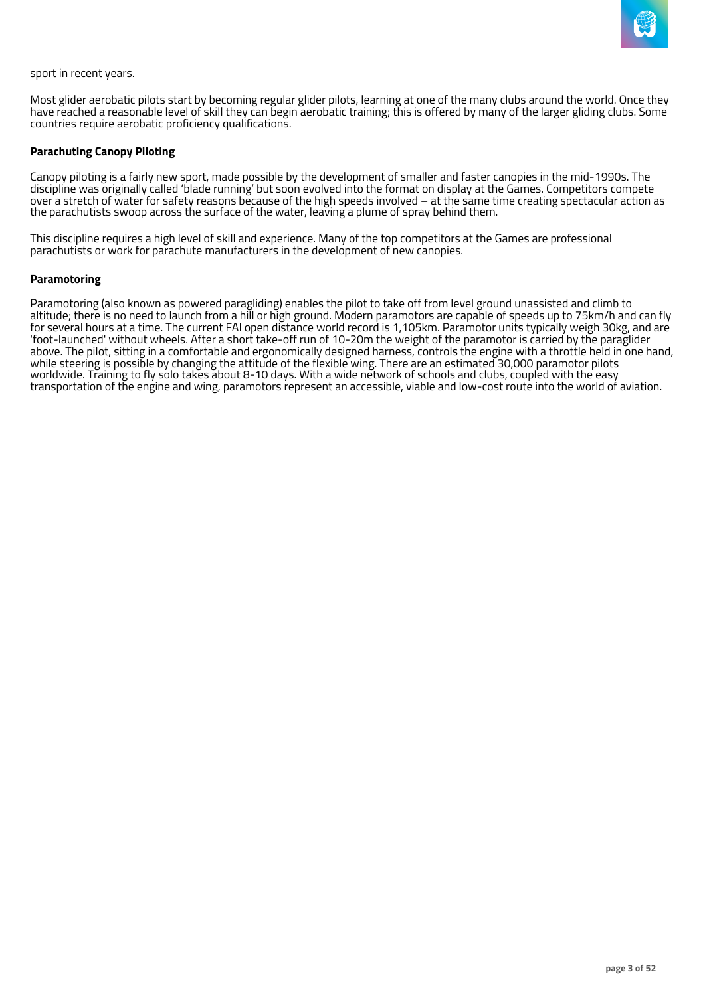

sport in recent years.

Most glider aerobatic pilots start by becoming regular glider pilots, learning at one of the many clubs around the world. Once they have reached a reasonable level of skill they can begin aerobatic training; this is offered by many of the larger gliding clubs. Some countries require aerobatic proficiency qualifications.

#### **Parachuting Canopy Piloting**

Canopy piloting is a fairly new sport, made possible by the development of smaller and faster canopies in the mid-1990s. The discipline was originally called 'blade running' but soon evolved into the format on display at the Games. Competitors compete over a stretch of water for safety reasons because of the high speeds involved – at the same time creating spectacular action as the parachutists swoop across the surface of the water, leaving a plume of spray behind them.

This discipline requires a high level of skill and experience. Many of the top competitors at the Games are professional parachutists or work for parachute manufacturers in the development of new canopies.

#### **Paramotoring**

Paramotoring (also known as powered paragliding) enables the pilot to take off from level ground unassisted and climb to altitude; there is no need to launch from a hill or high ground. Modern paramotors are capable of speeds up to 75km/h and can fly for several hours at a time. The current FAI open distance world record is 1,105km. Paramotor units typically weigh 30kg, and are 'foot-launched' without wheels. After a short take-off run of 10-20m the weight of the paramotor is carried by the paraglider above. The pilot, sitting in a comfortable and ergonomically designed harness, controls the engine with a throttle held in one hand, while steering is possible by changing the attitude of the flexible wing. There are an estimated 30,000 paramotor pilots worldwide. Training to fly solo takes about 8-10 days. With a wide network of schools and clubs, coupled with the easy transportation of the engine and wing, paramotors represent an accessible, viable and low-cost route into the world of aviation.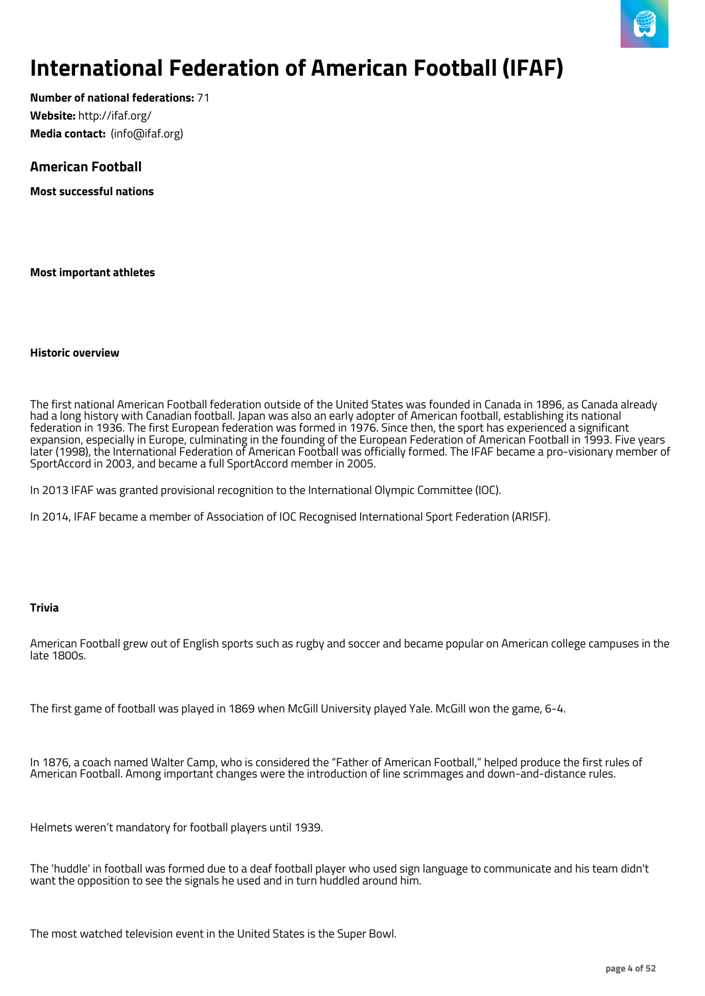

## <span id="page-3-0"></span>**International Federation of American Football (IFAF)**

**Number of national federations:** 71 **Website:** http://ifaf.org/ **Media contact:** (info@ifaf.org)

**American Football**

**Most successful nations**

**Most important athletes**

**Historic overview**

The first national American Football federation outside of the United States was founded in Canada in 1896, as Canada already had a long history with Canadian football. Japan was also an early adopter of American football, establishing its national federation in 1936. The first European federation was formed in 1976. Since then, the sport has experienced a significant expansion, especially in Europe, culminating in the founding of the European Federation of American Football in 1993. Five years later (1998), the International Federation of American Football was officially formed. The IFAF became a pro-visionary member of SportAccord in 2003, and became a full SportAccord member in 2005.

In 2013 IFAF was granted provisional recognition to the International Olympic Committee (IOC).

In 2014, IFAF became a member of Association of IOC Recognised International Sport Federation (ARISF).

#### **Trivia**

American Football grew out of English sports such as rugby and soccer and became popular on American college campuses in the late 1800s.

The first game of football was played in 1869 when McGill University played Yale. McGill won the game, 6-4.

In 1876, a coach named Walter Camp, who is considered the "Father of American Football," helped produce the first rules of American Football. Among important changes were the introduction of line scrimmages and down-and-distance rules.

Helmets weren't mandatory for football players until 1939.

The 'huddle' in football was formed due to a deaf football player who used sign language to communicate and his team didn't want the opposition to see the signals he used and in turn huddled around him.

The most watched television event in the United States is the Super Bowl.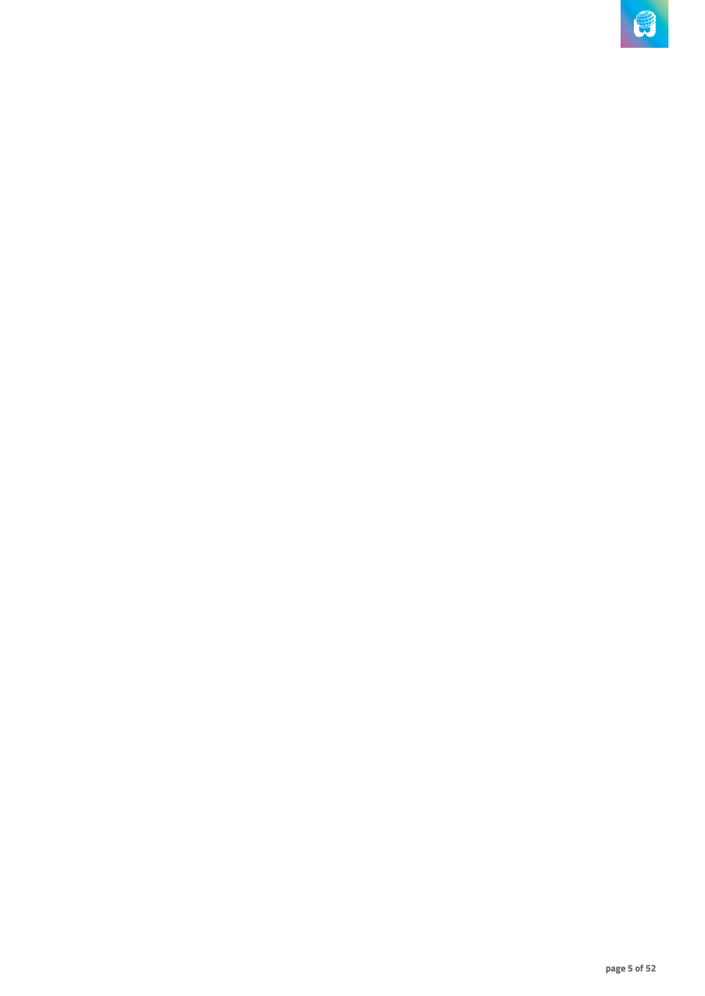$\bigcircled{{}}$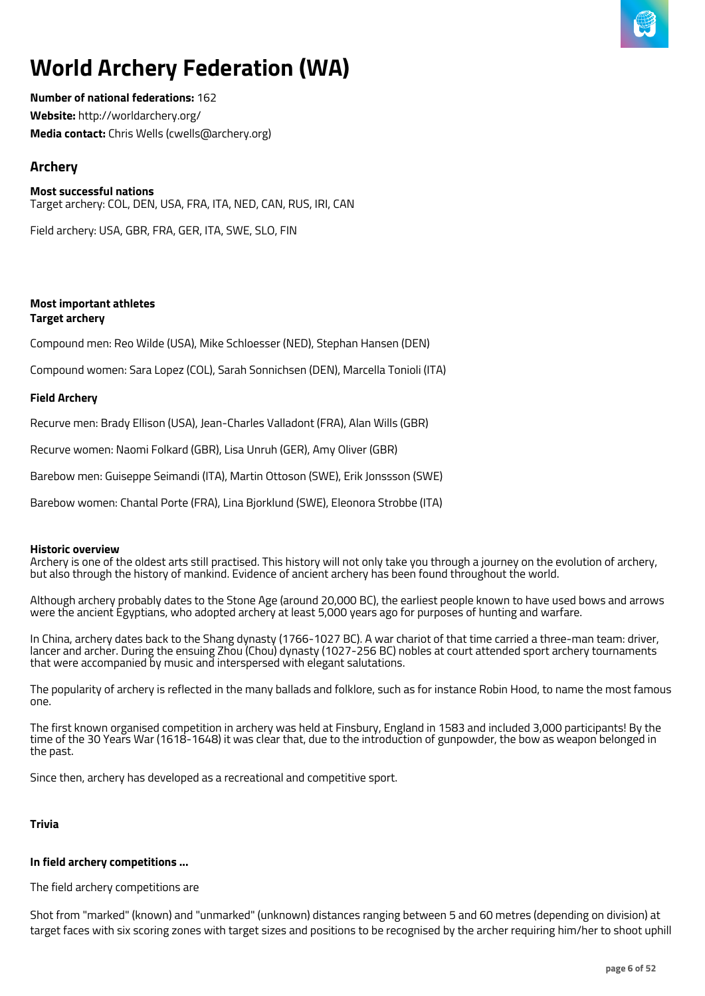<span id="page-5-0"></span>

**Number of national federations:** 162 **Website:** http://worldarchery.org/ **Media contact:** Chris Wells (cwells@archery.org)

## **Archery**

**Most successful nations** Target archery: COL, DEN, USA, FRA, ITA, NED, CAN, RUS, IRI, CAN

Field archery: USA, GBR, FRA, GER, ITA, SWE, SLO, FIN

#### **Most important athletes Target archery**

Compound men: Reo Wilde (USA), Mike Schloesser (NED), Stephan Hansen (DEN)

Compound women: Sara Lopez (COL), Sarah Sonnichsen (DEN), Marcella Tonioli (ITA)

#### **Field Archery**

Recurve men: Brady Ellison (USA), Jean-Charles Valladont (FRA), Alan Wills (GBR)

Recurve women: Naomi Folkard (GBR), Lisa Unruh (GER), Amy Oliver (GBR)

Barebow men: Guiseppe Seimandi (ITA), Martin Ottoson (SWE), Erik Jonssson (SWE)

Barebow women: Chantal Porte (FRA), Lina Bjorklund (SWE), Eleonora Strobbe (ITA)

#### **Historic overview**

Archery is one of the oldest arts still practised. This history will not only take you through a journey on the evolution of archery, but also through the history of mankind. Evidence of ancient archery has been found throughout the world.

Although archery probably dates to the Stone Age (around 20,000 BC), the earliest people known to have used bows and arrows were the ancient Egyptians, who adopted archery at least 5,000 years ago for purposes of hunting and warfare.

In China, archery dates back to the Shang dynasty (1766-1027 BC). A war chariot of that time carried a three-man team: driver, lancer and archer. During the ensuing Zhou (Chou) dynasty (1027-256 BC) nobles at court attended sport archery tournaments that were accompanied by music and interspersed with elegant salutations.

The popularity of archery is reflected in the many ballads and folklore, such as for instance Robin Hood, to name the most famous one.

The first known organised competition in archery was held at Finsbury, England in 1583 and included 3,000 participants! By the time of the 30 Years War (1618-1648) it was clear that, due to the introduction of gunpowder, the bow as weapon belonged in the past.

Since then, archery has developed as a recreational and competitive sport.

## **Trivia**

## **In field archery competitions ...**

The field archery competitions are

Shot from "marked" (known) and "unmarked" (unknown) distances ranging between 5 and 60 metres (depending on division) at target faces with six scoring zones with target sizes and positions to be recognised by the archer requiring him/her to shoot uphill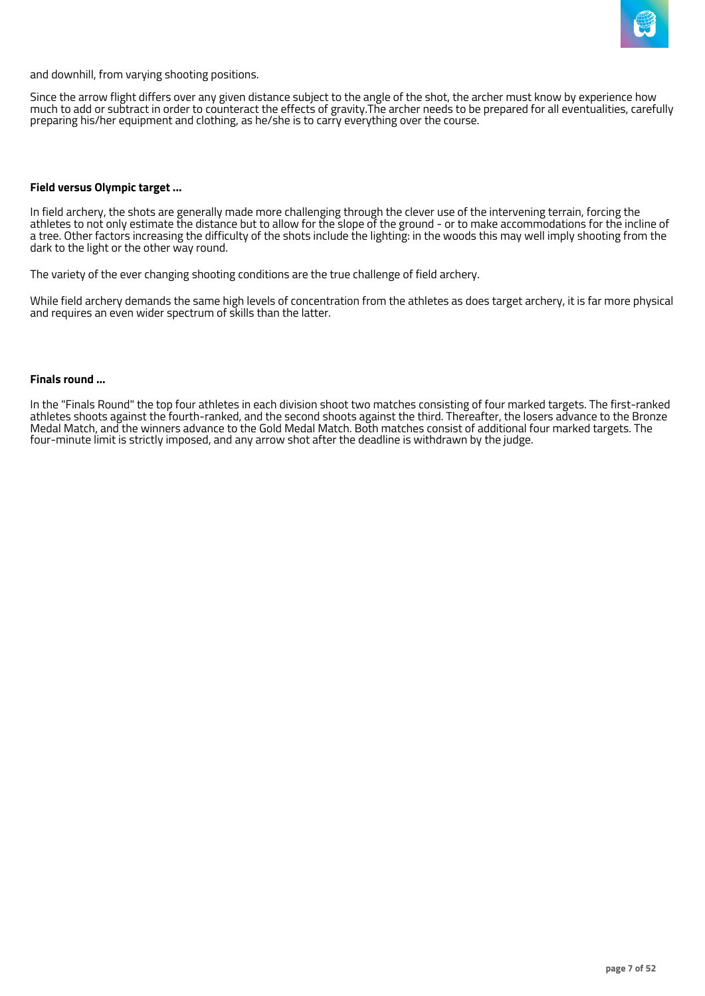

and downhill, from varying shooting positions.

Since the arrow flight differs over any given distance subject to the angle of the shot, the archer must know by experience how much to add or subtract in order to counteract the effects of gravity.The archer needs to be prepared for all eventualities, carefully preparing his/her equipment and clothing, as he/she is to carry everything over the course.

#### **Field versus Olympic target ...**

In field archery, the shots are generally made more challenging through the clever use of the intervening terrain, forcing the athletes to not only estimate the distance but to allow for the slope of the ground - or to make accommodations for the incline of a tree. Other factors increasing the difficulty of the shots include the lighting: in the woods this may well imply shooting from the dark to the light or the other way round.

The variety of the ever changing shooting conditions are the true challenge of field archery.

While field archery demands the same high levels of concentration from the athletes as does target archery, it is far more physical and requires an even wider spectrum of skills than the latter.

#### **Finals round ...**

In the "Finals Round" the top four athletes in each division shoot two matches consisting of four marked targets. The first-ranked athletes shoots against the fourth-ranked, and the second shoots against the third. Thereafter, the losers advance to the Bronze Medal Match, and the winners advance to the Gold Medal Match. Both matches consist of additional four marked targets. The four-minute limit is strictly imposed, and any arrow shot after the deadline is withdrawn by the judge.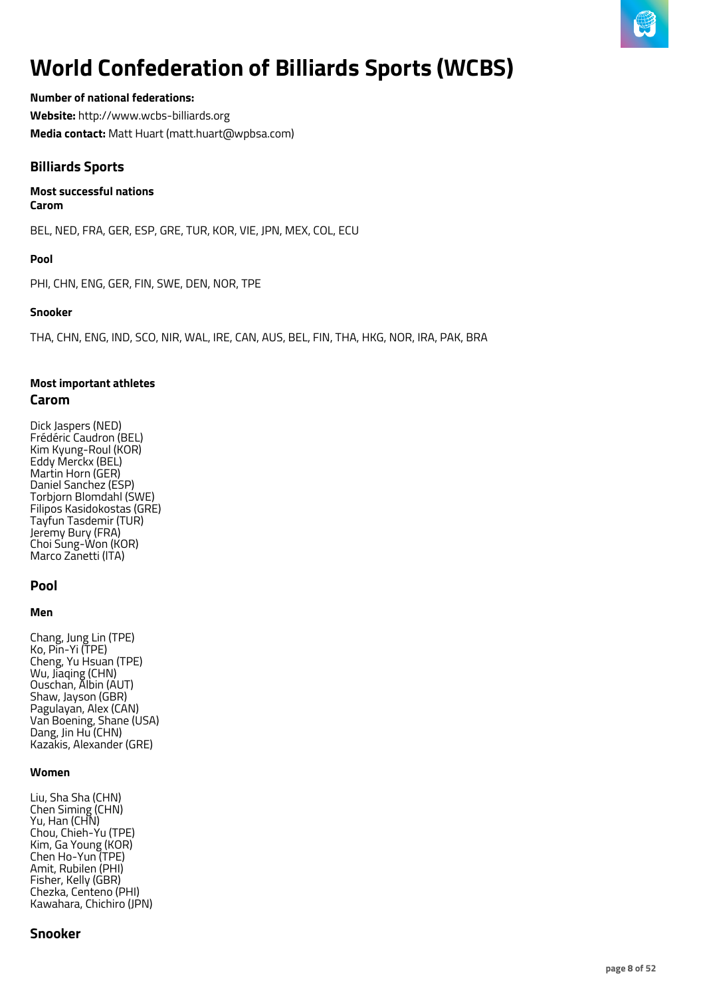<span id="page-7-0"></span>

## **Number of national federations:**

**Website:** http://www.wcbs-billiards.org **Media contact:** Matt Huart (matt.huart@wpbsa.com)

## **Billiards Sports**

**Most successful nations Carom**

BEL, NED, FRA, GER, ESP, GRE, TUR, KOR, VIE, JPN, MEX, COL, ECU

**Pool**

PHI, CHN, ENG, GER, FIN, SWE, DEN, NOR, TPE

#### **Snooker**

THA, CHN, ENG, IND, SCO, NIR, WAL, IRE, CAN, AUS, BEL, FIN, THA, HKG, NOR, IRA, PAK, BRA

#### **Most important athletes Carom**

Dick Jaspers (NED) Frédéric Caudron (BEL) Kim Kyung-Roul (KOR) Eddy Merckx (BEL) Martin Horn (GER) Daniel Sanchez (ESP) Torbjorn Blomdahl (SWE) Filipos Kasidokostas (GRE) Tayfun Tasdemir (TUR) Jeremy Bury (FRA) Choi Sung-Won (KOR) Marco Zanetti (lTA)

## **Pool**

## **Men**

Chang, Jung Lin (TPE) Ko, Pin-Yi (TPE) Cheng, Yu Hsuan (TPE) Wu, Jiaqing (CHN) Ouschan, Albin (AUT) Shaw, Jayson (GBR) Pagulayan, Alex (CAN) Van Boening, Shane (USA) Dang, Jin Hu (CHN) Kazakis, Alexander (GRE)

#### **Women**

Liu, Sha Sha (CHN) Chen Siming (CHN) Yu, Han (CHN) Chou, Chieh-Yu (TPE) Kim, Ga Young (KOR) Chen Ho-Yun (TPE) Amit, Rubilen (PHI) Fisher, Kelly (GBR) Chezka, Centeno (PHI) Kawahara, Chichiro (JPN)

## **Snooker**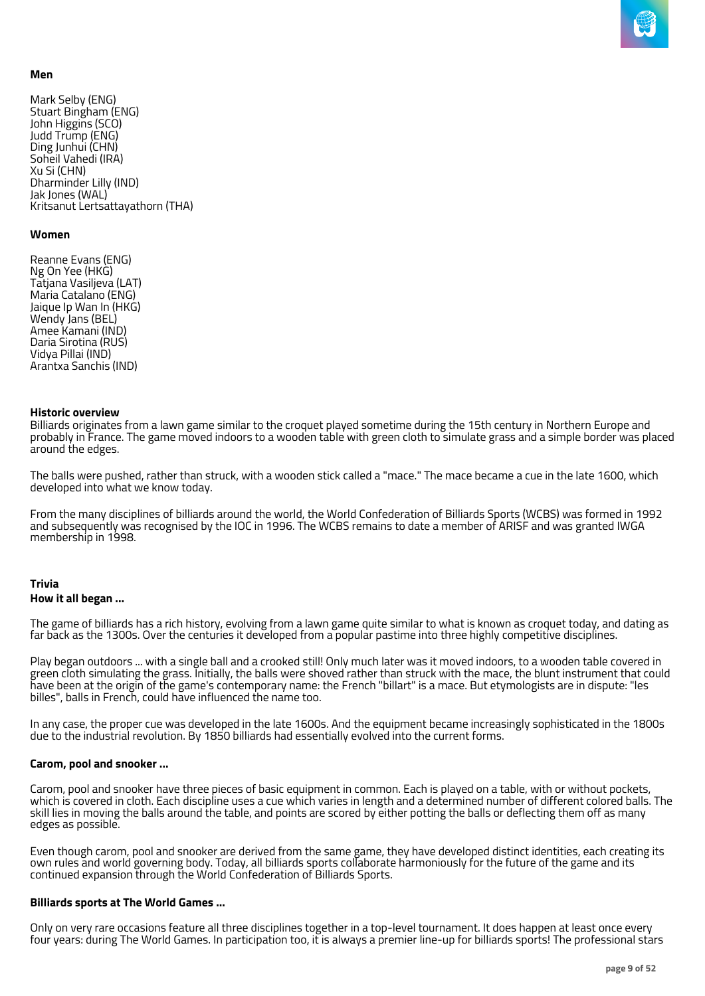#### **Men**

Mark Selby (ENG) Stuart Bingham (ENG) John Higgins (SCO) Judd Trump (ENG) Ding Junhui (CHN) Soheil Vahedi (IRA) Xu Si (CHN) Dharminder Lilly (IND) Jak Jones (WAL) Kritsanut Lertsattayathorn (THA)

#### **Women**

Reanne Evans (ENG) Ng On Yee (HKG) Tatjana Vasiljeva (LAT) Maria Catalano (ENG) Jaique Ip Wan In (HKG) Wendy Jans (BEL) Amee Kamani (IND) Daria Sirotina (RUS) Vidya Pillai (IND) Arantxa Sanchis (IND)

#### **Historic overview**

Billiards originates from a lawn game similar to the croquet played sometime during the 15th century in Northern Europe and probably in France. The game moved indoors to a wooden table with green cloth to simulate grass and a simple border was placed around the edges.

The balls were pushed, rather than struck, with a wooden stick called a "mace." The mace became a cue in the late 1600, which developed into what we know today.

From the many disciplines of billiards around the world, the World Confederation of Billiards Sports (WCBS) was formed in 1992 and subsequently was recognised by the IOC in 1996. The WCBS remains to date a member of ARISF and was granted IWGA membership in 1998.

## **Trivia**

## **How it all began ...**

The game of billiards has a rich history, evolving from a lawn game quite similar to what is known as croquet today, and dating as far back as the 1300s. Over the centuries it developed from a popular pastime into three highly competitive disciplines.

Play began outdoors ... with a single ball and a crooked still! Only much later was it moved indoors, to a wooden table covered in green cloth simulating the grass. Initially, the balls were shoved rather than struck with the mace, the blunt instrument that could have been at the origin of the game's contemporary name: the French "billart" is a mace. But etymologists are in dispute: "les billes", balls in French, could have influenced the name too.

In any case, the proper cue was developed in the late 1600s. And the equipment became increasingly sophisticated in the 1800s due to the industrial revolution. By 1850 billiards had essentially evolved into the current forms.

#### **Carom, pool and snooker ...**

Carom, pool and snooker have three pieces of basic equipment in common. Each is played on a table, with or without pockets, which is covered in cloth. Each discipline uses a cue which varies in length and a determined number of different colored balls. The skill lies in moving the balls around the table, and points are scored by either potting the balls or deflecting them off as many edges as possible.

Even though carom, pool and snooker are derived from the same game, they have developed distinct identities, each creating its own rules and world governing body. Today, all billiards sports collaborate harmoniously for the future of the game and its continued expansion through the World Confederation of Billiards Sports.

#### **Billiards sports at The World Games ...**

Only on very rare occasions feature all three disciplines together in a top-level tournament. It does happen at least once every four years: during The World Games. In participation too, it is always a premier line-up for billiards sports! The professional stars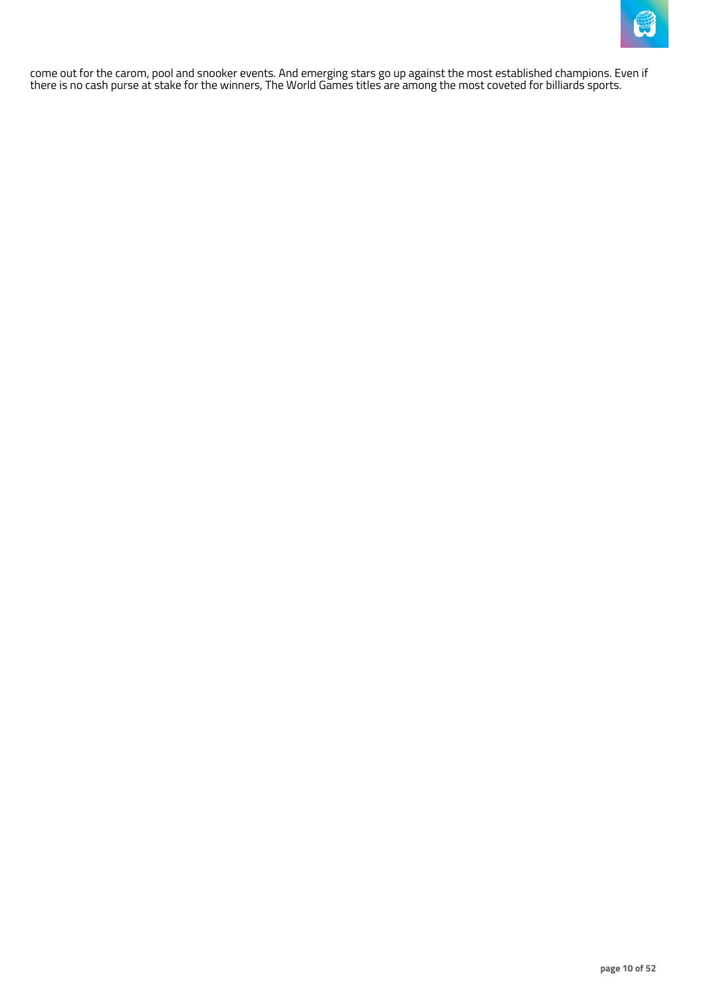

come out for the carom, pool and snooker events. And emerging stars go up against the most established champions. Even if there is no cash purse at stake for the winners, The World Games titles are among the most coveted for billiards sports.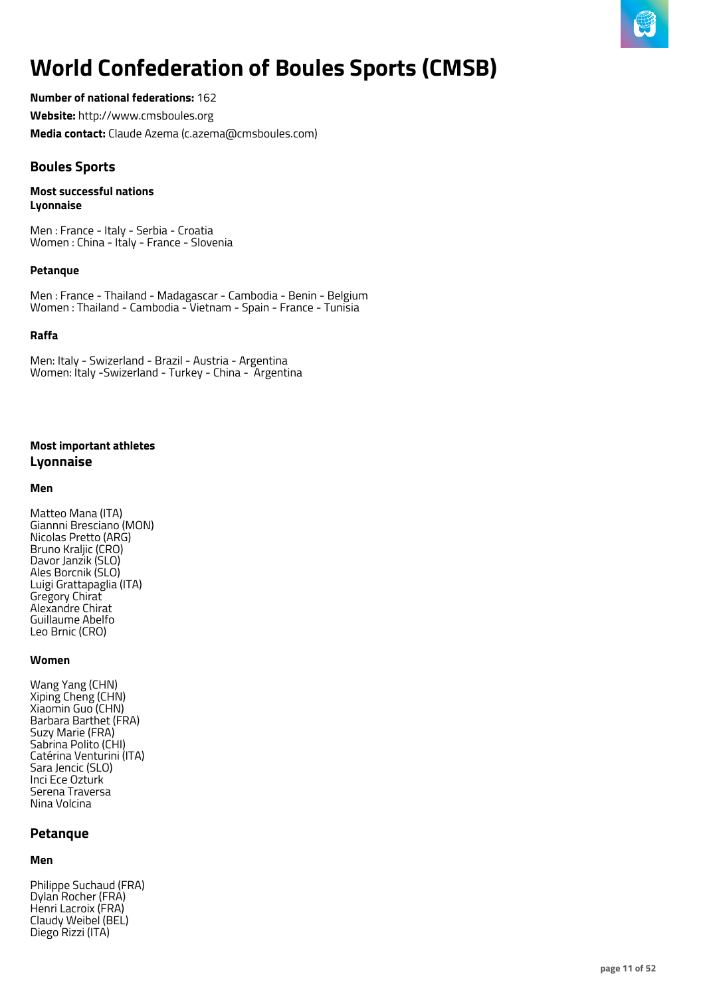## <span id="page-10-0"></span>**World Confederation of Boules Sports (CMSB)**

**Number of national federations:** 162

**Website:** http://www.cmsboules.org **Media contact:** Claude Azema (c.azema@cmsboules.com)

## **Boules Sports**

### **Most successful nations Lyonnaise**

Men : France - Italy - Serbia - Croatia Women : China - Italy - France - Slovenia

## **Petanque**

Men : France - Thailand - Madagascar - Cambodia - Benin - Belgium Women : Thailand - Cambodia - Vietnam - Spain - France - Tunisia

## **Raffa**

Men: Italy - Swizerland - Brazil - Austria - Argentina Women: Italy -Swizerland - Turkey - China - Argentina

## **Most important athletes Lyonnaise**

## **Men**

Matteo Mana (ITA) Giannni Bresciano (MON) Nicolas Pretto (ARG) Bruno Kraljic (CRO) Davor Janzik (SLO) Ales Borcnik (SLO) Luigi Grattapaglia (ITA) Gregory Chirat Alexandre Chirat Guillaume Abelfo Leo Brnic (CRO)

## **Women**

Wang Yang (CHN) Xiping Cheng (CHN) Xiaomin Guo (CHN) Barbara Barthet (FRA) Suzy Marie (FRA) Sabrina Polito (CHI) Catérina Venturini (ITA) Sara Jencic (SLO) Inci Ece Ozturk Serena Traversa Nina Volcina

## **Petanque**

## **Men**

Philippe Suchaud (FRA) Dylan Rocher (FRA) Henri Lacroix (FRA) Claudy Weibel (BEL) Diego Rizzi (ITA)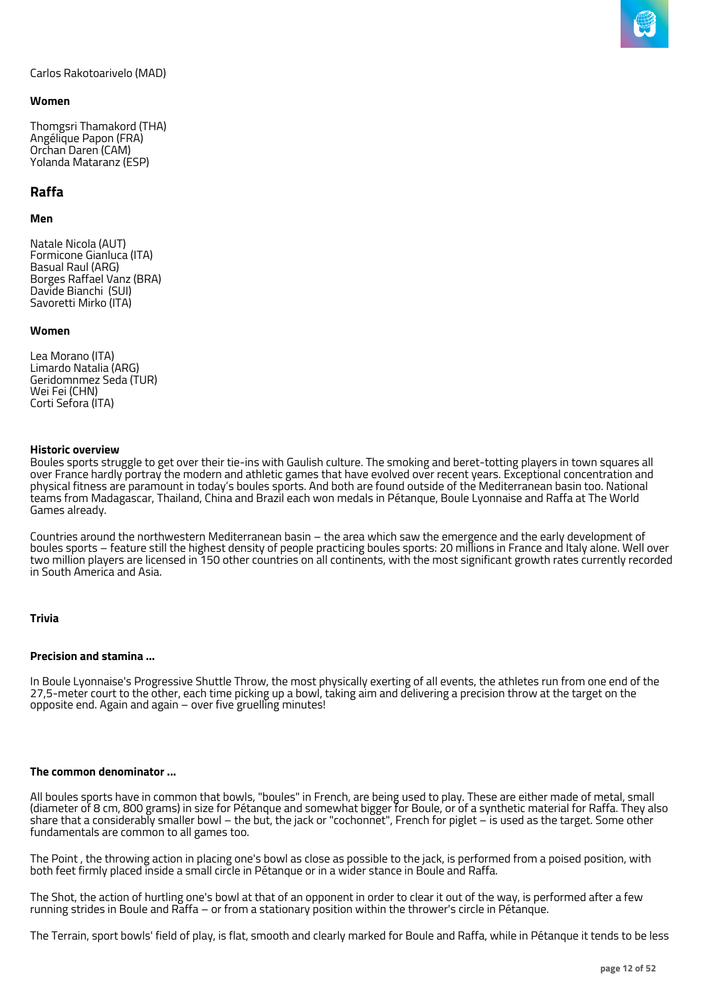#### **Women**

Thomgsri Thamakord (THA) Angélique Papon (FRA) Orchan Daren (CAM) Yolanda Mataranz (ESP)

## **Raffa**

#### **Men**

Natale Nicola (AUT) Formicone Gianluca (ITA) Basual Raul (ARG) Borges Raffael Vanz (BRA) Davide Bianchi (SUI) Savoretti Mirko (ITA)

#### **Women**

Lea Morano (ITA) Limardo Natalia (ARG) Geridomnmez Seda (TUR) Wei Fei (CHN) Corti Sefora (ITA)

#### **Historic overview**

Boules sports struggle to get over their tie-ins with Gaulish culture. The smoking and beret-totting players in town squares all over France hardly portray the modern and athletic games that have evolved over recent years. Exceptional concentration and physical fitness are paramount in today's boules sports. And both are found outside of the Mediterranean basin too. National teams from Madagascar, Thailand, China and Brazil each won medals in Pétanque, Boule Lyonnaise and Raffa at The World Games already.

Countries around the northwestern Mediterranean basin – the area which saw the emergence and the early development of boules sports – feature still the highest density of people practicing boules sports: 20 millions in France and Italy alone. Well over two million players are licensed in 150 other countries on all continents, with the most significant growth rates currently recorded in South America and Asia.

#### **Trivia**

#### **Precision and stamina ...**

In Boule Lyonnaise's Progressive Shuttle Throw, the most physically exerting of all events, the athletes run from one end of the 27,5-meter court to the other, each time picking up a bowl, taking aim and delivering a precision throw at the target on the opposite end. Again and again – over five gruelling minutes!

#### **The common denominator ...**

All boules sports have in common that bowls, "boules" in French, are being used to play. These are either made of metal, small (diameter of 8 cm, 800 grams) in size for Pétanque and somewhat bigger for Boule, or of a synthetic material for Raffa. They also share that a considerably smaller bowl – the but, the jack or "cochonnet", French for piglet – is used as the target. Some other fundamentals are common to all games too.

The Point , the throwing action in placing one's bowl as close as possible to the jack, is performed from a poised position, with both feet firmly placed inside a small circle in Pétanque or in a wider stance in Boule and Raffa.

The Shot, the action of hurtling one's bowl at that of an opponent in order to clear it out of the way, is performed after a few running strides in Boule and Raffa – or from a stationary position within the thrower's circle in Pétanque.

The Terrain, sport bowls' field of play, is flat, smooth and clearly marked for Boule and Raffa, while in Pétanque it tends to be less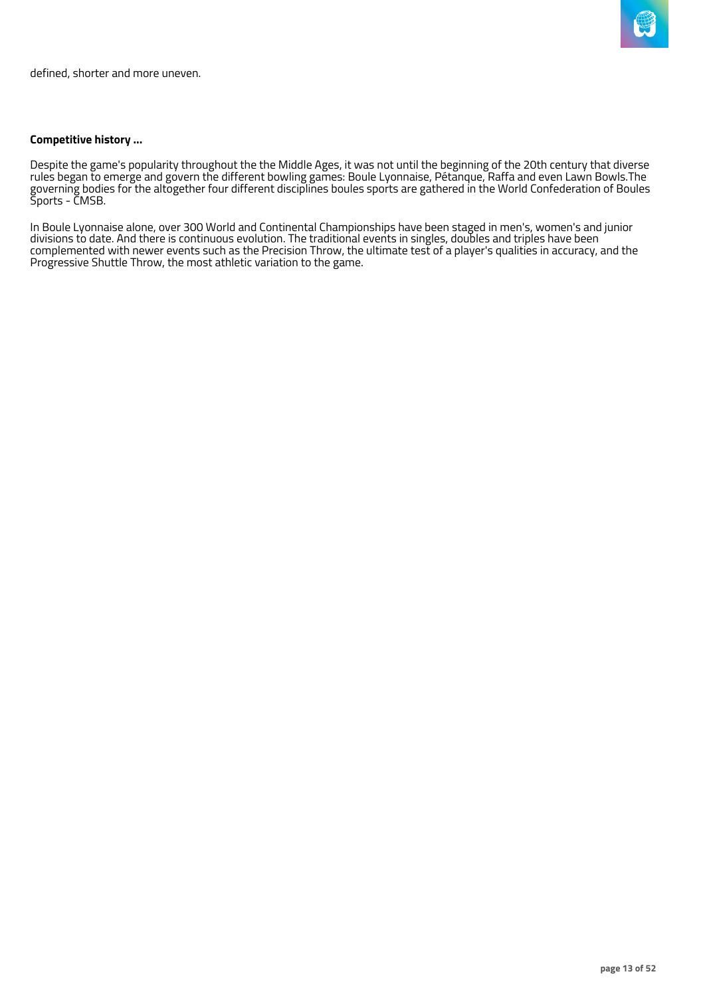

defined, shorter and more uneven.

#### **Competitive history ...**

Despite the game's popularity throughout the the Middle Ages, it was not until the beginning of the 20th century that diverse rules began to emerge and govern the different bowling games: Boule Lyonnaise, Pétanque, Raffa and even Lawn Bowls.The governing bodies for the altogether four different disciplines boules sports are gathered in the World Confederation of Boules Sports - CMSB.

In Boule Lyonnaise alone, over 300 World and Continental Championships have been staged in men's, women's and junior divisions to date. And there is continuous evolution. The traditional events in singles, doubles and triples have been complemented with newer events such as the Precision Throw, the ultimate test of a player's qualities in accuracy, and the Progressive Shuttle Throw, the most athletic variation to the game.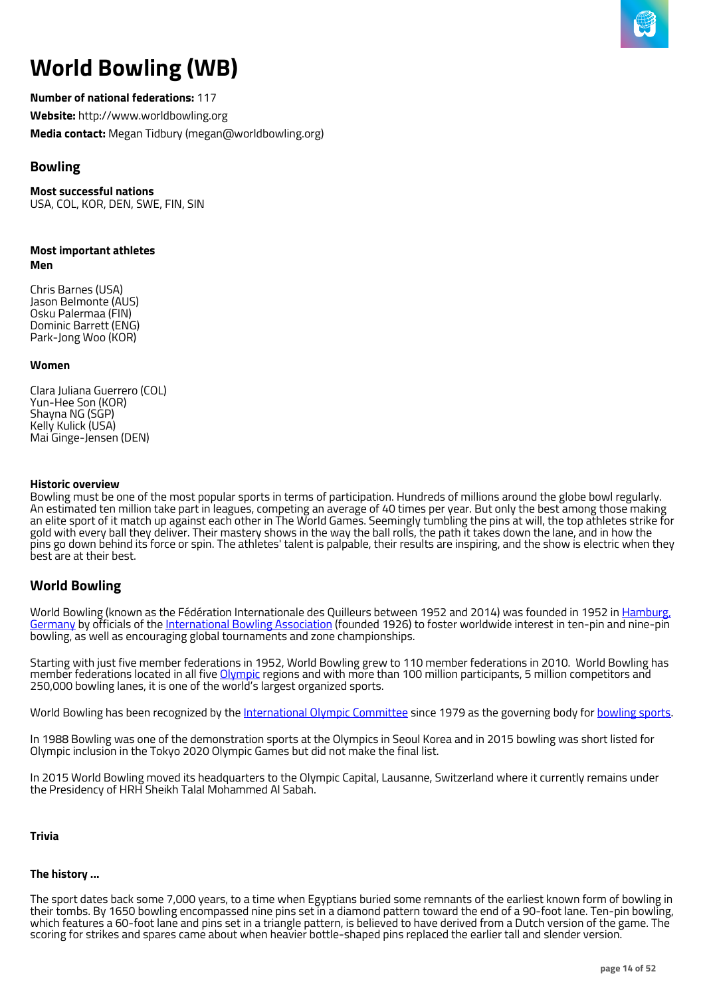## <span id="page-13-0"></span>**World Bowling (WB)**

**Number of national federations:** 117 **Website:** http://www.worldbowling.org **Media contact:** Megan Tidbury (megan@worldbowling.org)

## **Bowling**

**Most successful nations** USA, COL, KOR, DEN, SWE, FIN, SIN

#### **Most important athletes Men**

Chris Barnes (USA) Jason Belmonte (AUS) Osku Palermaa (FIN) Dominic Barrett (ENG) Park-Jong Woo (KOR)

## **Women**

Clara Juliana Guerrero (COL) Yun-Hee Son (KOR) Shayna NG (SGP) Kelly Kulick (USA) Mai Ginge-Jensen (DEN)

#### **Historic overview**

Bowling must be one of the most popular sports in terms of participation. Hundreds of millions around the globe bowl regularly. An estimated ten million take part in leagues, competing an average of 40 times per year. But only the best among those making an elite sport of it match up against each other in The World Games. Seemingly tumbling the pins at will, the top athletes strike for gold with every ball they deliver. Their mastery shows in the way the ball rolls, the path it takes down the lane, and in how the pins go down behind its force or spin. The athletes' talent is palpable, their results are inspiring, and the show is electric when they best are at their best.

## **World Bowling**

World Bowling (known as the Fédération Internationale des Quilleurs between 1952 and 2014) was founded in 1952 in [Hamburg,](https://en.wikipedia.org/wiki/Hamburg,_Germany) [Germany](https://en.wikipedia.org/wiki/Hamburg,_Germany) by officials of the [International Bowling Association](https://en.wikipedia.org/w/index.php?title=International_Bowling_Association&action=edit&redlink=1) (founded 1926) to foster worldwide interest in ten-pin and nine-pin bowling, as well as encouraging global tournaments and zone championships.

Starting with just five member federations in 1952, World Bowling grew to 110 member federations in 2010. World Bowling has member federations located in all five *Olympic* regions and with more than 100 million participants, 5 million competitors and 250,000 bowling lanes, it is one of the world's largest organized sports.

World Bowling has been recognized by the [International Olympic Committee](https://en.wikipedia.org/wiki/International_Olympic_Committee) since 1979 as the governing body for [bowling sports.](https://en.wikipedia.org/wiki/Bowling)

In 1988 Bowling was one of the demonstration sports at the Olympics in Seoul Korea and in 2015 bowling was short listed for Olympic inclusion in the Tokyo 2020 Olympic Games but did not make the final list.

In 2015 World Bowling moved its headquarters to the Olympic Capital, Lausanne, Switzerland where it currently remains under the Presidency of HRH Sheikh Talal Mohammed Al Sabah.

## **Trivia**

## **The history ...**

The sport dates back some 7,000 years, to a time when Egyptians buried some remnants of the earliest known form of bowling in their tombs. By 1650 bowling encompassed nine pins set in a diamond pattern toward the end of a 90-foot lane. Ten-pin bowling, which features a 60-foot lane and pins set in a triangle pattern, is believed to have derived from a Dutch version of the game. The scoring for strikes and spares came about when heavier bottle-shaped pins replaced the earlier tall and slender version.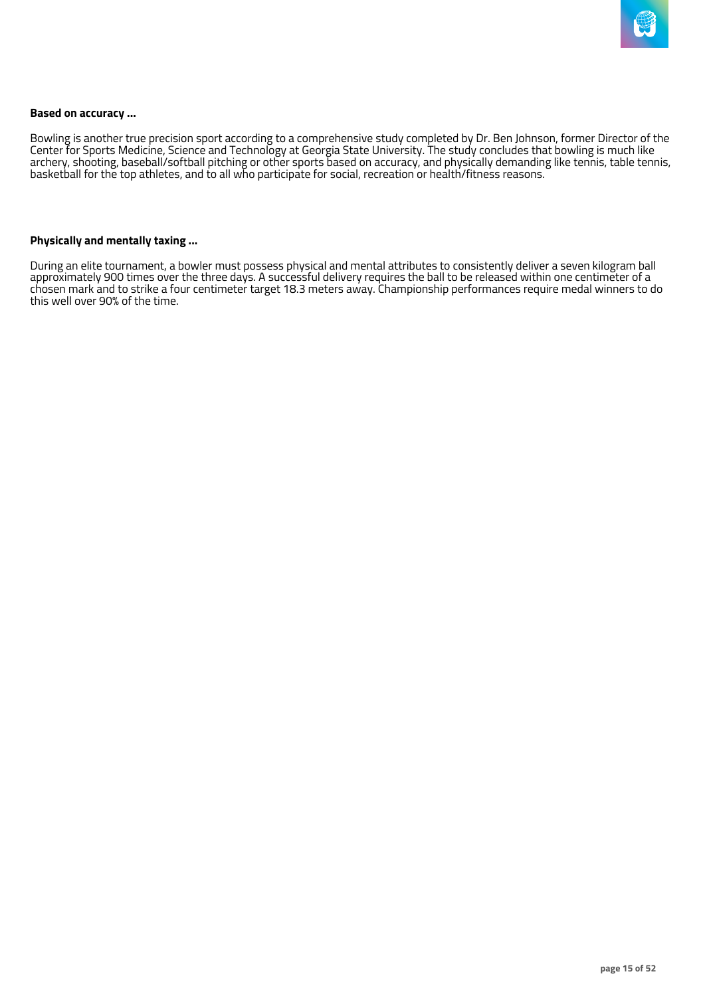

#### **Based on accuracy ...**

Bowling is another true precision sport according to a comprehensive study completed by Dr. Ben Johnson, former Director of the Center for Sports Medicine, Science and Technology at Georgia State University. The study concludes that bowling is much like archery, shooting, baseball/softball pitching or other sports based on accuracy, and physically demanding like tennis, table tennis, basketball for the top athletes, and to all who participate for social, recreation or health/fitness reasons.

#### **Physically and mentally taxing ...**

During an elite tournament, a bowler must possess physical and mental attributes to consistently deliver a seven kilogram ball approximately 900 times over the three days. A successful delivery requires the ball to be released within one centimeter of a chosen mark and to strike a four centimeter target 18.3 meters away. Championship performances require medal winners to do this well over 90% of the time.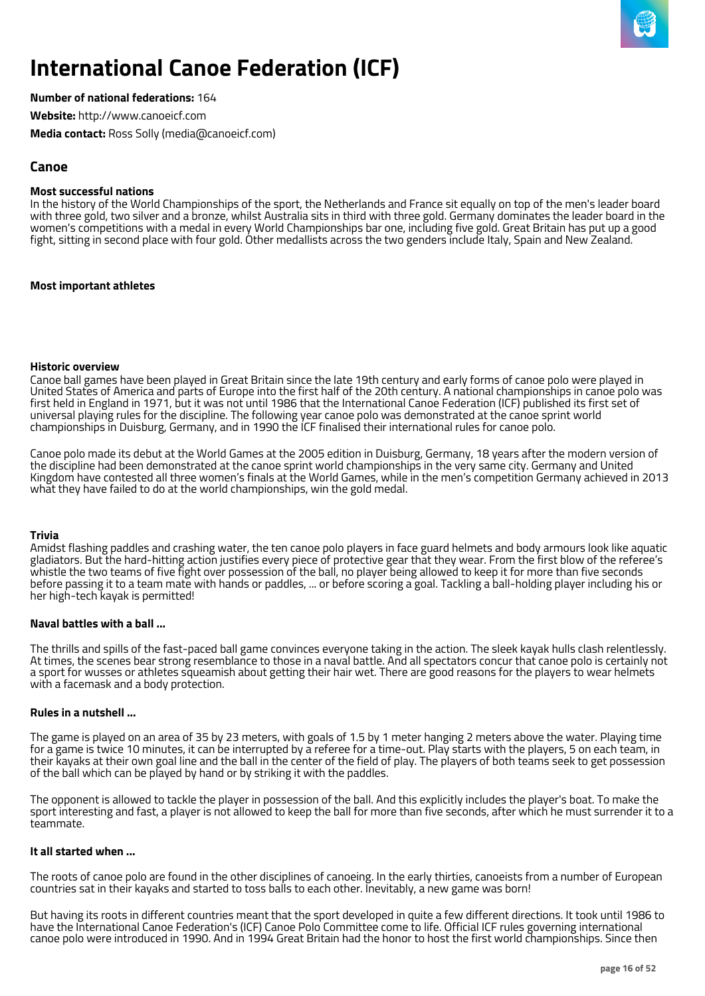<span id="page-15-0"></span>

**Number of national federations:** 164

**Website:** http://www.canoeicf.com

**Media contact:** Ross Solly (media@canoeicf.com)

#### **Canoe**

#### **Most successful nations**

In the history of the World Championships of the sport, the Netherlands and France sit equally on top of the men's leader board with three gold, two silver and a bronze, whilst Australia sits in third with three gold. Germany dominates the leader board in the women's competitions with a medal in every World Championships bar one, including five gold. Great Britain has put up a good fight, sitting in second place with four gold. Other medallists across the two genders include Italy, Spain and New Zealand.

#### **Most important athletes**

#### **Historic overview**

Canoe ball games have been played in Great Britain since the late 19th century and early forms of canoe polo were played in United States of America and parts of Europe into the first half of the 20th century. A national championships in canoe polo was first held in England in 1971, but it was not until 1986 that the International Canoe Federation (ICF) published its first set of universal playing rules for the discipline. The following year canoe polo was demonstrated at the canoe sprint world championships in Duisburg, Germany, and in 1990 the ICF finalised their international rules for canoe polo.

Canoe polo made its debut at the World Games at the 2005 edition in Duisburg, Germany, 18 years after the modern version of the discipline had been demonstrated at the canoe sprint world championships in the very same city. Germany and United Kingdom have contested all three women's finals at the World Games, while in the men's competition Germany achieved in 2013 what they have failed to do at the world championships, win the gold medal.

#### **Trivia**

Amidst flashing paddles and crashing water, the ten canoe polo players in face guard helmets and body armours look like aquatic gladiators. But the hard-hitting action justifies every piece of protective gear that they wear. From the first blow of the referee's whistle the two teams of five fight over possession of the ball, no player being allowed to keep it for more than five seconds before passing it to a team mate with hands or paddles, ... or before scoring a goal. Tackling a ball-holding player including his or her high-tech kayak is permitted!

#### **Naval battles with a ball ...**

The thrills and spills of the fast-paced ball game convinces everyone taking in the action. The sleek kayak hulls clash relentlessly. At times, the scenes bear strong resemblance to those in a naval battle. And all spectators concur that canoe polo is certainly not a sport for wusses or athletes squeamish about getting their hair wet. There are good reasons for the players to wear helmets with a facemask and a body protection.

#### **Rules in a nutshell ...**

The game is played on an area of 35 by 23 meters, with goals of 1.5 by 1 meter hanging 2 meters above the water. Playing time for a game is twice 10 minutes, it can be interrupted by a referee for a time-out. Play starts with the players, 5 on each team, in their kayaks at their own goal line and the ball in the center of the field of play. The players of both teams seek to get possession of the ball which can be played by hand or by striking it with the paddles.

The opponent is allowed to tackle the player in possession of the ball. And this explicitly includes the player's boat. To make the sport interesting and fast, a player is not allowed to keep the ball for more than five seconds, after which he must surrender it to a teammate.

#### **It all started when ...**

The roots of canoe polo are found in the other disciplines of canoeing. In the early thirties, canoeists from a number of European countries sat in their kayaks and started to toss balls to each other. Inevitably, a new game was born!

But having its roots in different countries meant that the sport developed in quite a few different directions. It took until 1986 to have the International Canoe Federation's (ICF) Canoe Polo Committee come to life. Official ICF rules governing international canoe polo were introduced in 1990. And in 1994 Great Britain had the honor to host the first world championships. Since then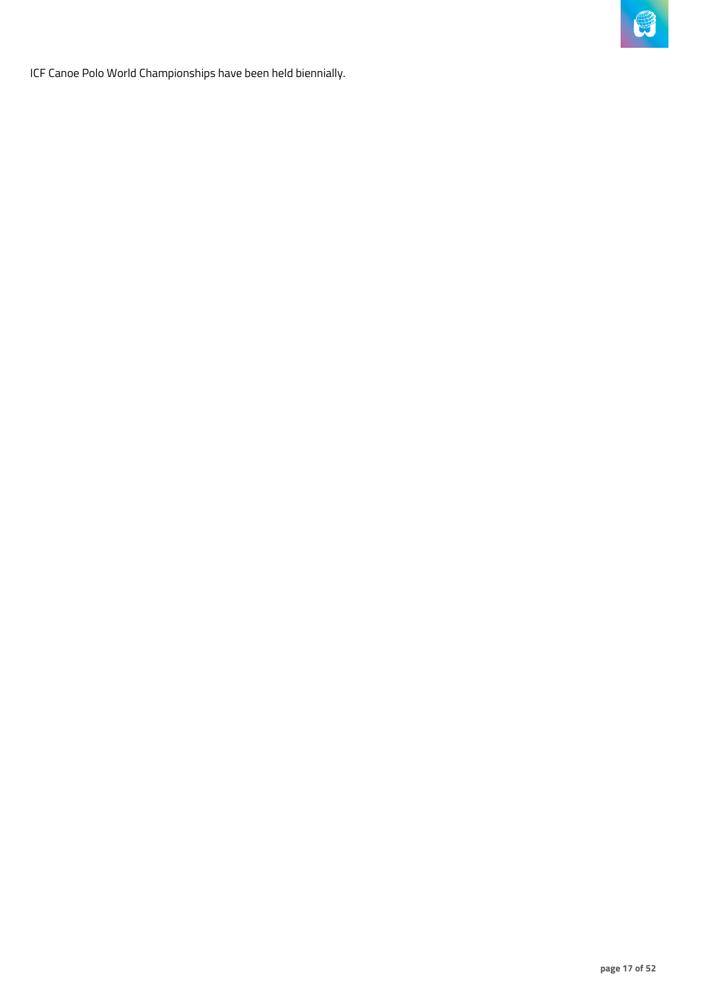ICF Canoe Polo World Championships have been held biennially.

8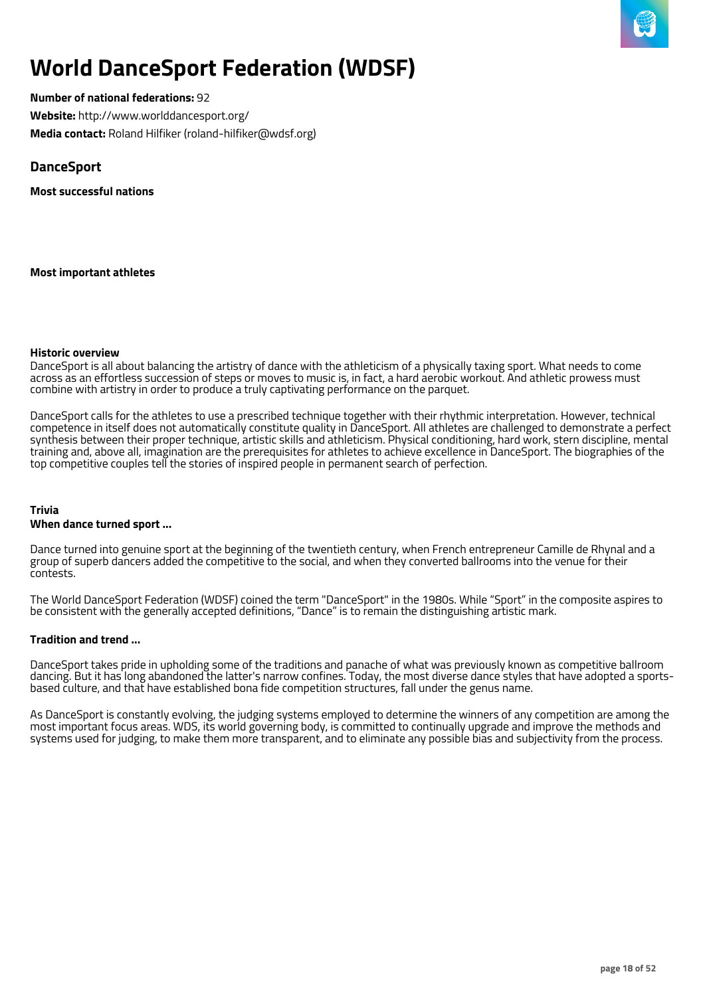## <span id="page-17-0"></span>**World DanceSport Federation (WDSF)**

**Number of national federations:** 92 **Website:** http://www.worlddancesport.org/ **Media contact:** Roland Hilfiker (roland-hilfiker@wdsf.org)

## **DanceSport**

**Most successful nations**

**Most important athletes**

#### **Historic overview**

DanceSport is all about balancing the artistry of dance with the athleticism of a physically taxing sport. What needs to come across as an effortless succession of steps or moves to music is, in fact, a hard aerobic workout. And athletic prowess must combine with artistry in order to produce a truly captivating performance on the parquet.

DanceSport calls for the athletes to use a prescribed technique together with their rhythmic interpretation. However, technical competence in itself does not automatically constitute quality in DanceSport. All athletes are challenged to demonstrate a perfect synthesis between their proper technique, artistic skills and athleticism. Physical conditioning, hard work, stern discipline, mental training and, above all, imagination are the prerequisites for athletes to achieve excellence in DanceSport. The biographies of the top competitive couples tell the stories of inspired people in permanent search of perfection.

#### **Trivia**

#### **When dance turned sport ...**

Dance turned into genuine sport at the beginning of the twentieth century, when French entrepreneur Camille de Rhynal and a group of superb dancers added the competitive to the social, and when they converted ballrooms into the venue for their contests.

The World DanceSport Federation (WDSF) coined the term "DanceSport" in the 1980s. While "Sport" in the composite aspires to be consistent with the generally accepted definitions, "Dance" is to remain the distinguishing artistic mark.

#### **Tradition and trend ...**

DanceSport takes pride in upholding some of the traditions and panache of what was previously known as competitive ballroom dancing. But it has long abandoned the latter's narrow confines. Today, the most diverse dance styles that have adopted a sportsbased culture, and that have established bona fide competition structures, fall under the genus name.

As DanceSport is constantly evolving, the judging systems employed to determine the winners of any competition are among the most important focus areas. WDS, its world governing body, is committed to continually upgrade and improve the methods and systems used for judging, to make them more transparent, and to eliminate any possible bias and subjectivity from the process.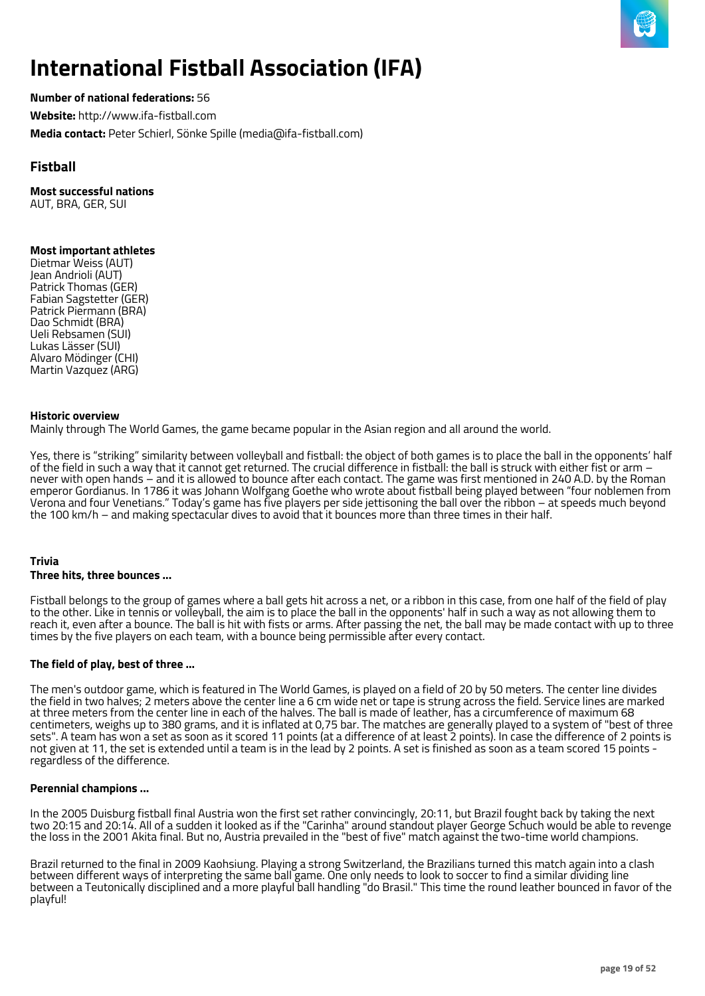## <span id="page-18-0"></span>**International Fistball Association (IFA)**

**Number of national federations:** 56

**Website:** http://www.ifa-fistball.com **Media contact:** Peter Schierl, Sönke Spille (media@ifa-fistball.com)

## **Fistball**

**Most successful nations** AUT, BRA, GER, SUI

### **Most important athletes**

Dietmar Weiss (AUT) Jean Andrioli (AUT) Patrick Thomas (GER) Fabian Sagstetter (GER) Patrick Piermann (BRA) Dao Schmidt (BRA) Ueli Rebsamen (SUI) Lukas Lässer (SUI) Alvaro Mödinger (CHI) Martin Vazquez (ARG)

#### **Historic overview**

Mainly through The World Games, the game became popular in the Asian region and all around the world.

Yes, there is "striking" similarity between volleyball and fistball: the object of both games is to place the ball in the opponents' half of the field in such a way that it cannot get returned. The crucial difference in fistball: the ball is struck with either fist or arm – never with open hands – and it is allowed to bounce after each contact. The game was first mentioned in 240 A.D. by the Roman emperor Gordianus. In 1786 it was Johann Wolfgang Goethe who wrote about fistball being played between "four noblemen from Verona and four Venetians." Today's game has five players per side jettisoning the ball over the ribbon – at speeds much beyond the 100 km/h – and making spectacular dives to avoid that it bounces more than three times in their half.

## **Trivia**

#### **Three hits, three bounces ...**

Fistball belongs to the group of games where a ball gets hit across a net, or a ribbon in this case, from one half of the field of play to the other. Like in tennis or volleyball, the aim is to place the ball in the opponents' half in such a way as not allowing them to reach it, even after a bounce. The ball is hit with fists or arms. After passing the net, the ball may be made contact with up to three times by the five players on each team, with a bounce being permissible after every contact.

#### **The field of play, best of three ...**

The men's outdoor game, which is featured in The World Games, is played on a field of 20 by 50 meters. The center line divides the field in two halves; 2 meters above the center line a 6 cm wide net or tape is strung across the field. Service lines are marked at three meters from the center line in each of the halves. The ball is made of leather, has a circumference of maximum 68 centimeters, weighs up to 380 grams, and it is inflated at 0,75 bar. The matches are generally played to a system of "best of three sets". A team has won a set as soon as it scored 11 points (at a difference of at least 2 points). In case the difference of 2 points is not given at 11, the set is extended until a team is in the lead by 2 points. A set is finished as soon as a team scored 15 points regardless of the difference.

#### **Perennial champions ...**

In the 2005 Duisburg fistball final Austria won the first set rather convincingly, 20:11, but Brazil fought back by taking the next two 20:15 and 20:14. All of a sudden it looked as if the "Carinha" around standout player George Schuch would be able to revenge the loss in the 2001 Akita final. But no, Austria prevailed in the "best of five" match against the two-time world champions.

Brazil returned to the final in 2009 Kaohsiung. Playing a strong Switzerland, the Brazilians turned this match again into a clash between different ways of interpreting the same ball game. One only needs to look to soccer to find a similar dividing line between a Teutonically disciplined and a more playful ball handling "do Brasil." This time the round leather bounced in favor of the playful!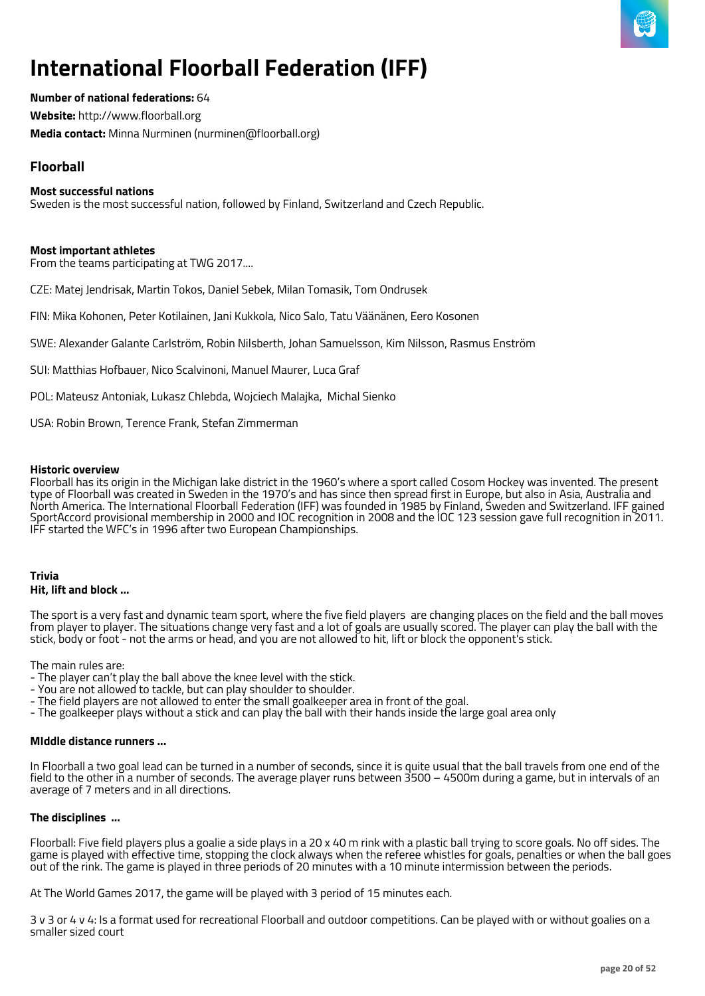## <span id="page-19-0"></span>**International Floorball Federation (IFF)**

## **Number of national federations:** 64

**Website:** http://www.floorball.org **Media contact:** Minna Nurminen (nurminen@floorball.org)

## **Floorball**

#### **Most successful nations**

Sweden is the most successful nation, followed by Finland, Switzerland and Czech Republic.

#### **Most important athletes**

From the teams participating at TWG 2017....

CZE: Matej Jendrisak, Martin Tokos, Daniel Sebek, Milan Tomasik, Tom Ondrusek

FIN: Mika Kohonen, Peter Kotilainen, Jani Kukkola, Nico Salo, Tatu Väänänen, Eero Kosonen

SWE: Alexander Galante Carlström, Robin Nilsberth, Johan Samuelsson, Kim Nilsson, Rasmus Enström

SUI: Matthias Hofbauer, Nico Scalvinoni, Manuel Maurer, Luca Graf

POL: Mateusz Antoniak, Lukasz Chlebda, Wojciech Malajka, Michal Sienko

USA: Robin Brown, Terence Frank, Stefan Zimmerman

#### **Historic overview**

Floorball has its origin in the Michigan lake district in the 1960's where a sport called Cosom Hockey was invented. The present type of Floorball was created in Sweden in the 1970's and has since then spread first in Europe, but also in Asia, Australia and North America. The International Floorball Federation (IFF) was founded in 1985 by Finland, Sweden and Switzerland. IFF gained SportAccord provisional membership in 2000 and IOC recognition in 2008 and the IOC 123 session gave full recognition in 2011. IFF started the WFC's in 1996 after two European Championships.

#### **Trivia**

#### **Hit, lift and block ...**

The sport is a very fast and dynamic team sport, where the five field players are changing places on the field and the ball moves from player to player. The situations change very fast and a lot of goals are usually scored. The player can play the ball with the stick, body or foot - not the arms or head, and you are not allowed to hit, lift or block the opponent's stick.

The main rules are:

- The player can't play the ball above the knee level with the stick.
- You are not allowed to tackle, but can play shoulder to shoulder.
- The field players are not allowed to enter the small goalkeeper area in front of the goal.
- The goalkeeper plays without a stick and can play the ball with their hands inside the large goal area only

## **MIddle distance runners ...**

In Floorball a two goal lead can be turned in a number of seconds, since it is quite usual that the ball travels from one end of the field to the other in a number of seconds. The average player runs between 3500 – 4500m during a game, but in intervals of an average of 7 meters and in all directions.

## **The disciplines ...**

Floorball: Five field players plus a goalie a side plays in a 20 x 40 m rink with a plastic ball trying to score goals. No off sides. The game is played with effective time, stopping the clock always when the referee whistles for goals, penalties or when the ball goes out of the rink. The game is played in three periods of 20 minutes with a 10 minute intermission between the periods.

At The World Games 2017, the game will be played with 3 period of 15 minutes each.

3 v 3 or 4 v 4: Is a format used for recreational Floorball and outdoor competitions. Can be played with or without goalies on a smaller sized court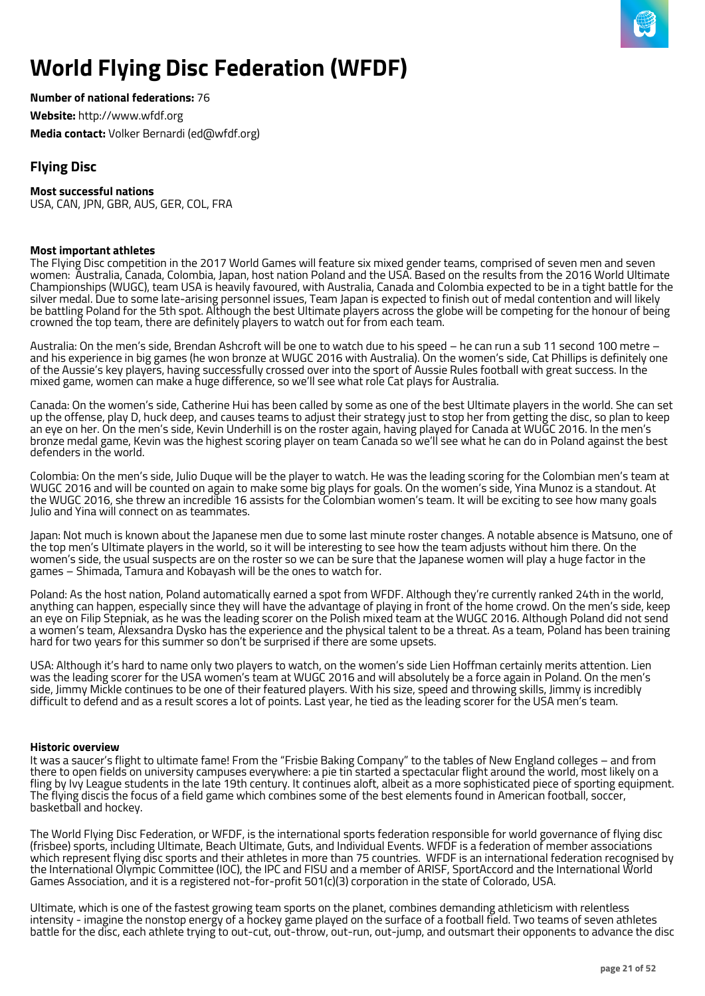## <span id="page-20-0"></span>**World Flying Disc Federation (WFDF)**

**Number of national federations:** 76

**Website:** http://www.wfdf.org **Media contact:** Volker Bernardi (ed@wfdf.org)

## **Flying Disc**

#### **Most successful nations**

USA, CAN, JPN, GBR, AUS, GER, COL, FRA

#### **Most important athletes**

The Flying Disc competition in the 2017 World Games will feature six mixed gender teams, comprised of seven men and seven women: Australia, Canada, Colombia, Japan, host nation Poland and the USA. Based on the results from the 2016 World Ultimate Championships (WUGC), team USA is heavily favoured, with Australia, Canada and Colombia expected to be in a tight battle for the silver medal. Due to some late-arising personnel issues, Team Japan is expected to finish out of medal contention and will likely be battling Poland for the 5th spot. Although the best Ultimate players across the globe will be competing for the honour of being crowned the top team, there are definitely players to watch out for from each team.

Australia: On the men's side, Brendan Ashcroft will be one to watch due to his speed – he can run a sub 11 second 100 metre – and his experience in big games (he won bronze at WUGC 2016 with Australia). On the women's side, Cat Phillips is definitely one of the Aussie's key players, having successfully crossed over into the sport of Aussie Rules football with great success. In the mixed game, women can make a huge difference, so we'll see what role Cat plays for Australia.

Canada: On the women's side, Catherine Hui has been called by some as one of the best Ultimate players in the world. She can set up the offense, play D, huck deep, and causes teams to adjust their strategy just to stop her from getting the disc, so plan to keep an eye on her. On the men's side, Kevin Underhill is on the roster again, having played for Canada at WUGC 2016. In the men's bronze medal game, Kevin was the highest scoring player on team Canada so we'll see what he can do in Poland against the best defenders in the world.

Colombia: On the men's side, Julio Duque will be the player to watch. He was the leading scoring for the Colombian men's team at WUGC 2016 and will be counted on again to make some big plays for goals. On the women's side, Yina Munoz is a standout. At the WUGC 2016, she threw an incredible 16 assists for the Colombian women's team. It will be exciting to see how many goals Julio and Yina will connect on as teammates.

Japan: Not much is known about the Japanese men due to some last minute roster changes. A notable absence is Matsuno, one of the top men's Ultimate players in the world, so it will be interesting to see how the team adjusts without him there. On the women's side, the usual suspects are on the roster so we can be sure that the Japanese women will play a huge factor in the games – Shimada, Tamura and Kobayash will be the ones to watch for.

Poland: As the host nation, Poland automatically earned a spot from WFDF. Although they're currently ranked 24th in the world, anything can happen, especially since they will have the advantage of playing in front of the home crowd. On the men's side, keep an eye on Filip Stepniak, as he was the leading scorer on the Polish mixed team at the WUGC 2016. Although Poland did not send a women's team, Alexsandra Dysko has the experience and the physical talent to be a threat. As a team, Poland has been training hard for two years for this summer so don't be surprised if there are some upsets.

USA: Although it's hard to name only two players to watch, on the women's side Lien Hoffman certainly merits attention. Lien was the leading scorer for the USA women's team at WUGC 2016 and will absolutely be a force again in Poland. On the men's side, Jimmy Mickle continues to be one of their featured players. With his size, speed and throwing skills, Jimmy is incredibly difficult to defend and as a result scores a lot of points. Last year, he tied as the leading scorer for the USA men's team.

#### **Historic overview**

It was a saucer's flight to ultimate fame! From the "Frisbie Baking Company" to the tables of New England colleges – and from there to open fields on university campuses everywhere: a pie tin started a spectacular flight around the world, most likely on a fling by Ivy League students in the late 19th century. It continues aloft, albeit as a more sophisticated piece of sporting equipment. The flying discis the focus of a field game which combines some of the best elements found in American football, soccer, basketball and hockey.

The World Flying Disc Federation, or WFDF, is the international sports federation responsible for world governance of flying disc (frisbee) sports, including Ultimate, Beach Ultimate, Guts, and Individual Events. WFDF is a federation of member associations which represent flying disc sports and their athletes in more than 75 countries. WFDF is an international federation recognised by the International Olympic Committee (IOC), the IPC and FISU and a member of ARISF, SportAccord and the International World Games Association, and it is a registered not-for-profit 501(c)(3) corporation in the state of Colorado, USA.

Ultimate, which is one of the fastest growing team sports on the planet, combines demanding athleticism with relentless intensity - imagine the nonstop energy of a hockey game played on the surface of a football field. Two teams of seven athletes battle for the disc, each athlete trying to out-cut, out-throw, out-run, out-jump, and outsmart their opponents to advance the disc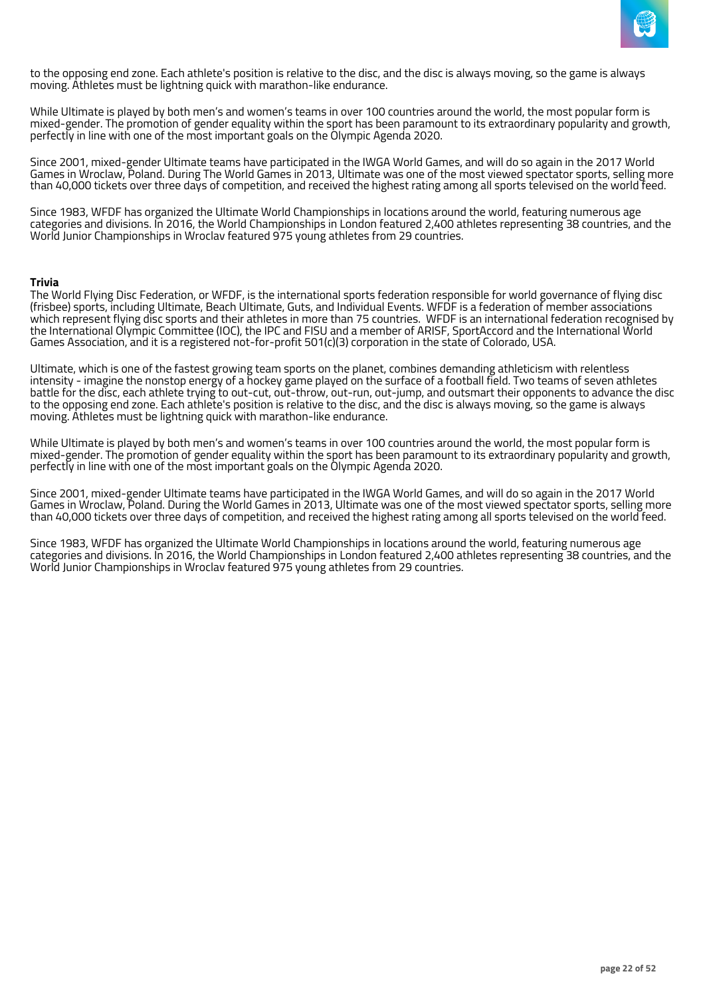

to the opposing end zone. Each athlete's position is relative to the disc, and the disc is always moving, so the game is always moving. Athletes must be lightning quick with marathon-like endurance.

While Ultimate is played by both men's and women's teams in over 100 countries around the world, the most popular form is mixed-gender. The promotion of gender equality within the sport has been paramount to its extraordinary popularity and growth, perfectly in line with one of the most important goals on the Olympic Agenda 2020.

Since 2001, mixed-gender Ultimate teams have participated in the IWGA World Games, and will do so again in the 2017 World Games in Wroclaw, Poland. During The World Games in 2013, Ultimate was one of the most viewed spectator sports, selling more than 40,000 tickets over three days of competition, and received the highest rating among all sports televised on the world feed.

Since 1983, WFDF has organized the Ultimate World Championships in locations around the world, featuring numerous age categories and divisions. In 2016, the World Championships in London featured 2,400 athletes representing 38 countries, and the World Junior Championships in Wroclav featured 975 young athletes from 29 countries.

#### **Trivia**

The World Flying Disc Federation, or WFDF, is the international sports federation responsible for world governance of flying disc (frisbee) sports, including Ultimate, Beach Ultimate, Guts, and Individual Events. WFDF is a federation of member associations which represent flying disc sports and their athletes in more than 75 countries. WFDF is an international federation recognised by the International Olympic Committee (IOC), the IPC and FISU and a member of ARISF, SportAccord and the International World Games Association, and it is a registered not-for-profit 501(c)(3) corporation in the state of Colorado, USA.

Ultimate, which is one of the fastest growing team sports on the planet, combines demanding athleticism with relentless intensity - imagine the nonstop energy of a hockey game played on the surface of a football field. Two teams of seven athletes battle for the disc, each athlete trying to out-cut, out-throw, out-run, out-jump, and outsmart their opponents to advance the disc to the opposing end zone. Each athlete's position is relative to the disc, and the disc is always moving, so the game is always moving. Athletes must be lightning quick with marathon-like endurance.

While Ultimate is played by both men's and women's teams in over 100 countries around the world, the most popular form is mixed-gender. The promotion of gender equality within the sport has been paramount to its extraordinary popularity and growth, perfectly in line with one of the most important goals on the Olympic Agenda 2020.

Since 2001, mixed-gender Ultimate teams have participated in the IWGA World Games, and will do so again in the 2017 World Games in Wroclaw, Poland. During the World Games in 2013, Ultimate was one of the most viewed spectator sports, selling more than 40,000 tickets over three days of competition, and received the highest rating among all sports televised on the world feed.

Since 1983, WFDF has organized the Ultimate World Championships in locations around the world, featuring numerous age categories and divisions. In 2016, the World Championships in London featured 2,400 athletes representing 38 countries, and the World Junior Championships in Wroclav featured 975 young athletes from 29 countries.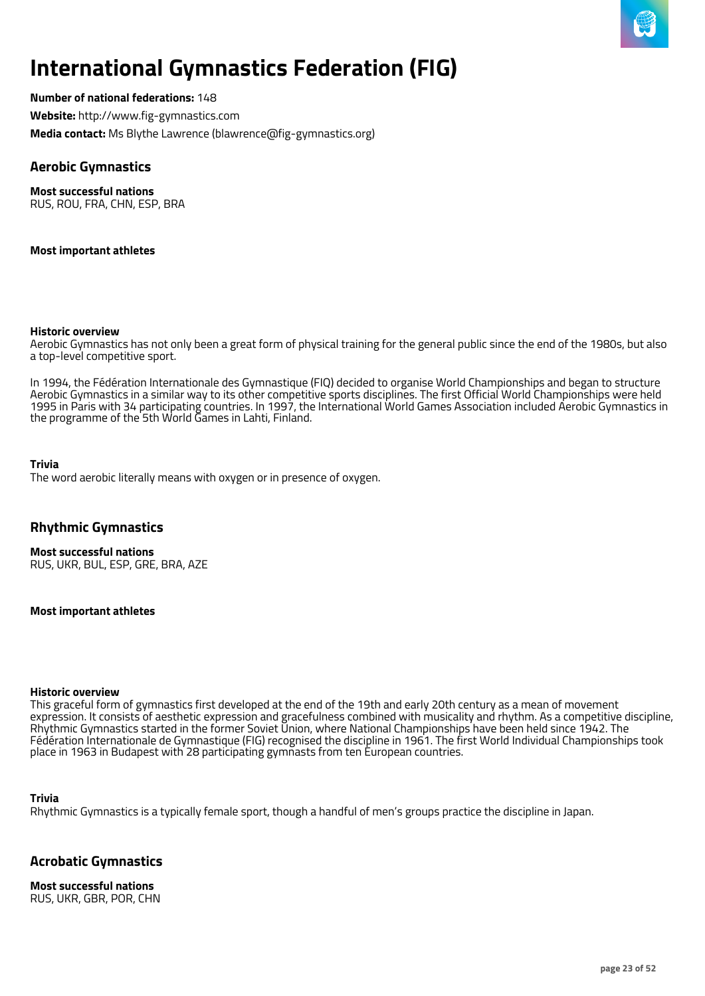## <span id="page-22-0"></span>**International Gymnastics Federation (FIG)**

**Number of national federations:** 148 **Website:** http://www.fig-gymnastics.com **Media contact:** Ms Blythe Lawrence (blawrence@fig-gymnastics.org)

## **Aerobic Gymnastics**

**Most successful nations** RUS, ROU, FRA, CHN, ESP, BRA

#### **Most important athletes**

#### **Historic overview**

Aerobic Gymnastics has not only been a great form of physical training for the general public since the end of the 1980s, but also a top-level competitive sport.

In 1994, the Fédération Internationale des Gymnastique (FIQ) decided to organise World Championships and began to structure Aerobic Gymnastics in a similar way to its other competitive sports disciplines. The first Official World Championships were held 1995 in Paris with 34 participating countries. In 1997, the International World Games Association included Aerobic Gymnastics in the programme of the 5th World Games in Lahti, Finland.

#### **Trivia**

The word aerobic literally means with oxygen or in presence of oxygen.

## **Rhythmic Gymnastics**

**Most successful nations** RUS, UKR, BUL, ESP, GRE, BRA, AZE

#### **Most important athletes**

#### **Historic overview**

This graceful form of gymnastics first developed at the end of the 19th and early 20th century as a mean of movement expression. It consists of aesthetic expression and gracefulness combined with musicality and rhythm. As a competitive discipline, Rhythmic Gymnastics started in the former Soviet Union, where National Championships have been held since 1942. The Fédération Internationale de Gymnastique (FIG) recognised the discipline in 1961. The first World Individual Championships took place in 1963 in Budapest with 28 participating gymnasts from ten European countries.

#### **Trivia**

Rhythmic Gymnastics is a typically female sport, though a handful of men's groups practice the discipline in Japan.

## **Acrobatic Gymnastics**

**Most successful nations** RUS, UKR, GBR, POR, CHN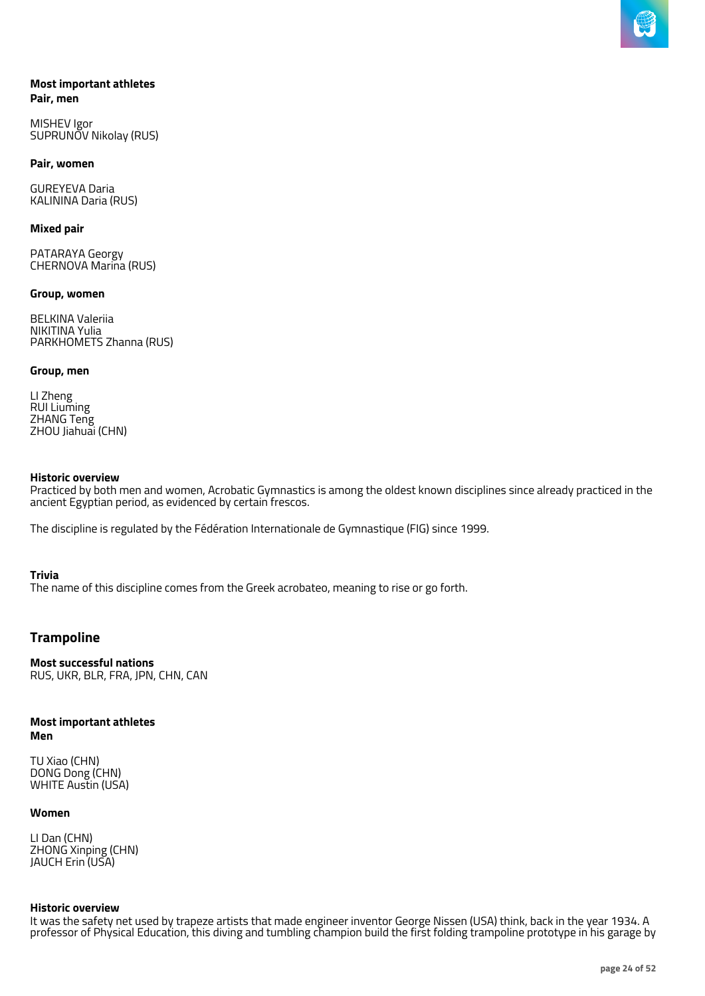#### **Most important athletes Pair, men**

MISHEV Igor SUPRUNOV Nikolay (RUS)

#### **Pair, women**

GUREYEVA Daria KALININA Daria (RUS)

#### **Mixed pair**

PATARAYA Georgy CHERNOVA Marina (RUS)

#### **Group, women**

BELKINA Valeriia NIKITINA Yulia PARKHOMETS Zhanna (RUS)

#### **Group, men**

LI Zheng RUI Liuming ZHANG Teng ZHOU Jiahuai (CHN)

#### **Historic overview**

Practiced by both men and women, Acrobatic Gymnastics is among the oldest known disciplines since already practiced in the ancient Egyptian period, as evidenced by certain frescos.

The discipline is regulated by the Fédération Internationale de Gymnastique (FIG) since 1999.

**Trivia**

The name of this discipline comes from the Greek acrobateo, meaning to rise or go forth.

## **Trampoline**

**Most successful nations** RUS, UKR, BLR, FRA, JPN, CHN, CAN

## **Most important athletes**

**Men**

TU Xiao (CHN) DONG Dong (CHN) WHITE Austin (USA)

#### **Women**

LI Dan (CHN) ZHONG Xinping (CHN) JAUCH Erin (USA)

#### **Historic overview**

It was the safety net used by trapeze artists that made engineer inventor George Nissen (USA) think, back in the year 1934. A professor of Physical Education, this diving and tumbling champion build the first folding trampoline prototype in his garage by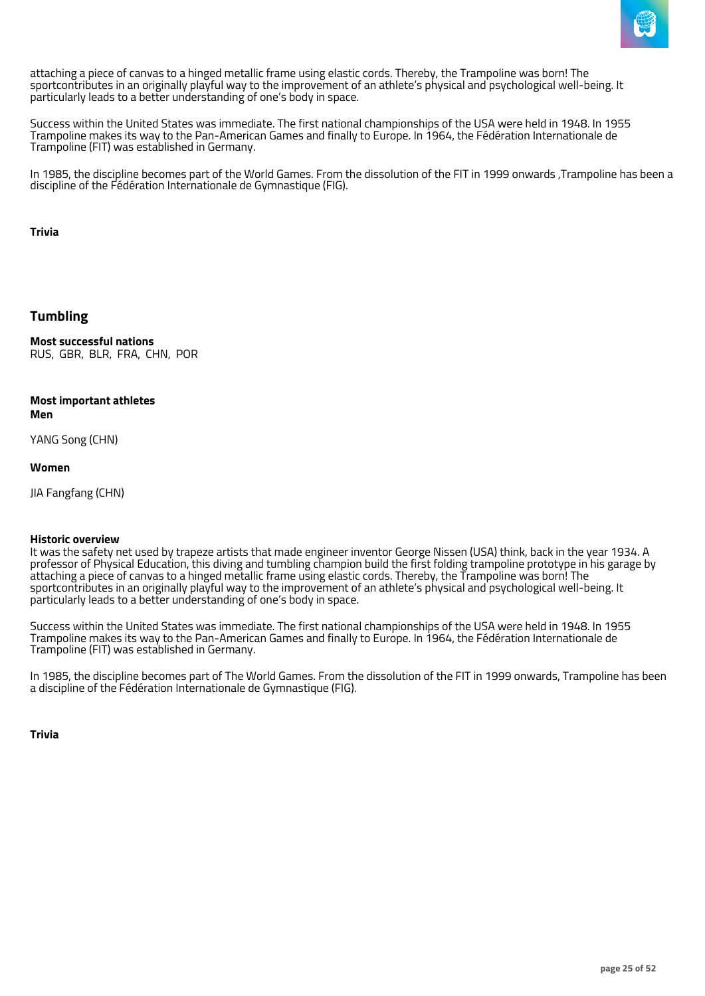

attaching a piece of canvas to a hinged metallic frame using elastic cords. Thereby, the Trampoline was born! The sportcontributes in an originally playful way to the improvement of an athlete's physical and psychological well-being. It particularly leads to a better understanding of one's body in space.

Success within the United States was immediate. The first national championships of the USA were held in 1948. In 1955 Trampoline makes its way to the Pan-American Games and finally to Europe. In 1964, the Fédération Internationale de Trampoline (FIT) was established in Germany.

In 1985, the discipline becomes part of the World Games. From the dissolution of the FIT in 1999 onwards ,Trampoline has been a discipline of the Fédération Internationale de Gymnastique (FIG).

#### **Trivia**

## **Tumbling**

## **Most successful nations**

RUS, GBR, BLR, FRA, CHN, POR

#### **Most important athletes Men**

YANG Song (CHN)

#### **Women**

JIA Fangfang (CHN)

#### **Historic overview**

It was the safety net used by trapeze artists that made engineer inventor George Nissen (USA) think, back in the year 1934. A professor of Physical Education, this diving and tumbling champion build the first folding trampoline prototype in his garage by attaching a piece of canvas to a hinged metallic frame using elastic cords. Thereby, the Trampoline was born! The sportcontributes in an originally playful way to the improvement of an athlete's physical and psychological well-being. It particularly leads to a better understanding of one's body in space.

Success within the United States was immediate. The first national championships of the USA were held in 1948. In 1955 Trampoline makes its way to the Pan-American Games and finally to Europe. In 1964, the Fédération Internationale de Trampoline (FIT) was established in Germany.

In 1985, the discipline becomes part of The World Games. From the dissolution of the FIT in 1999 onwards, Trampoline has been a discipline of the Fédération Internationale de Gymnastique (FIG).

**Trivia**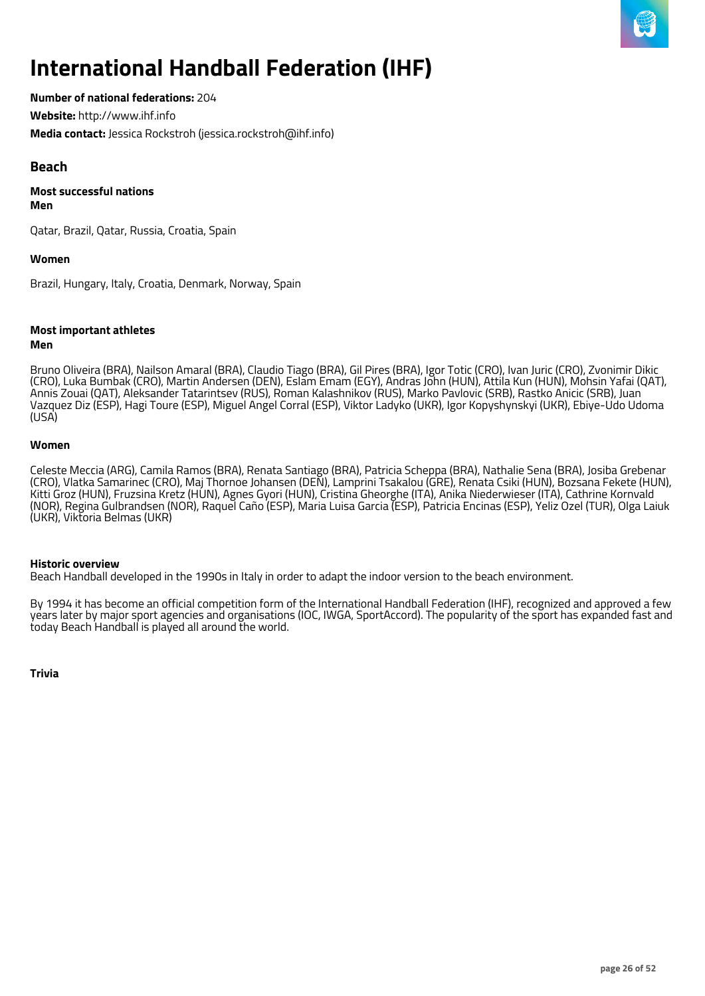## <span id="page-25-0"></span>**International Handball Federation (IHF)**

**Number of national federations:** 204

**Website:** http://www.ihf.info **Media contact:** Jessica Rockstroh (jessica.rockstroh@ihf.info)

## **Beach**

**Most successful nations Men**

Qatar, Brazil, Qatar, Russia, Croatia, Spain

## **Women**

Brazil, Hungary, Italy, Croatia, Denmark, Norway, Spain

## **Most important athletes**

**Men**

Bruno Oliveira (BRA), Nailson Amaral (BRA), Claudio Tiago (BRA), Gil Pires (BRA), Igor Totic (CRO), Ivan Juric (CRO), Zvonimir Dikic (CRO), Luka Bumbak (CRO), Martin Andersen (DEN), Eslam Emam (EGY), Andras John (HUN), Attila Kun (HUN), Mohsin Yafai (QAT), Annis Zouai (QAT), Aleksander Tatarintsev (RUS), Roman Kalashnikov (RUS), Marko Pavlovic (SRB), Rastko Anicic (SRB), Juan Vazquez Diz (ESP), Hagi Toure (ESP), Miguel Angel Corral (ESP), Viktor Ladyko (UKR), Igor Kopyshynskyi (UKR), Ebiye-Udo Udoma (USA)

## **Women**

Celeste Meccia (ARG), Camila Ramos (BRA), Renata Santiago (BRA), Patricia Scheppa (BRA), Nathalie Sena (BRA), Josiba Grebenar (CRO), Vlatka Samarinec (CRO), Maj Thornoe Johansen (DEN), Lamprini Tsakalou (GRE), Renata Csiki (HUN), Bozsana Fekete (HUN), Kitti Groz (HUN), Fruzsina Kretz (HUN), Agnes Gyori (HUN), Cristina Gheorghe (ITA), Anika Niederwieser (ITA), Cathrine Kornvald (NOR), Regina Gulbrandsen (NOR), Raquel Caño (ESP), Maria Luisa Garcia (ESP), Patricia Encinas (ESP), Yeliz Ozel (TUR), Olga Laiuk (UKR), Viktoria Belmas (UKR)

## **Historic overview**

Beach Handball developed in the 1990s in Italy in order to adapt the indoor version to the beach environment.

By 1994 it has become an official competition form of the International Handball Federation (IHF), recognized and approved a few years later by major sport agencies and organisations (IOC, IWGA, SportAccord). The popularity of the sport has expanded fast and today Beach Handball is played all around the world.

**Trivia**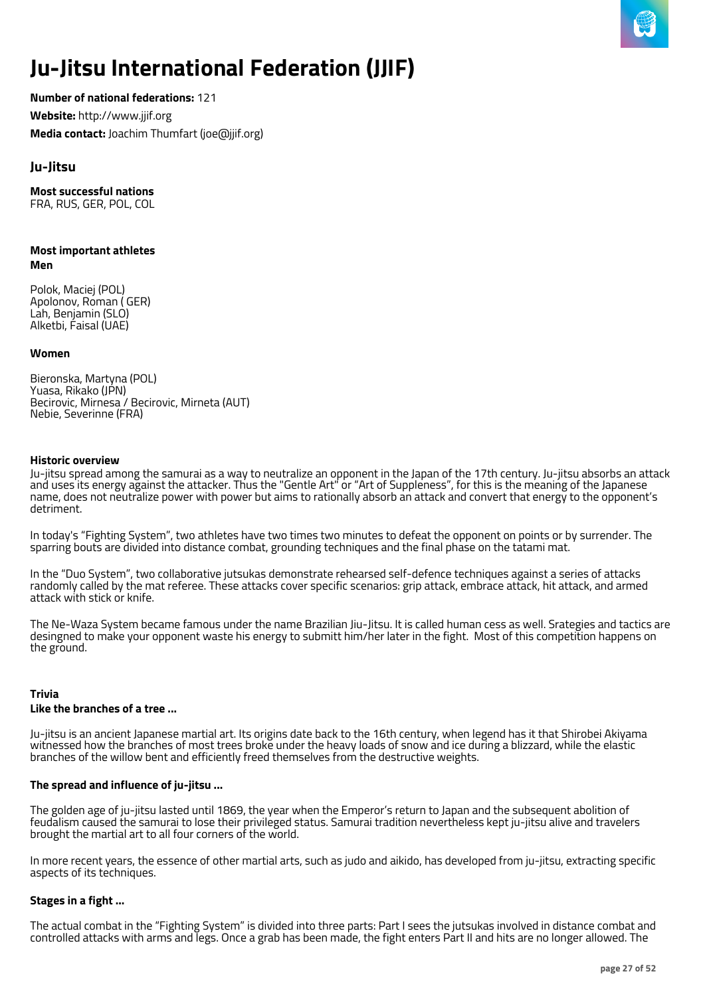## <span id="page-26-0"></span>**Ju-Jitsu International Federation (JJIF)**

**Number of national federations:** 121 **Website:** http://www.jjif.org **Media contact:** Joachim Thumfart (joe@jjif.org)

## **Ju-Jitsu**

**Most successful nations** FRA, RUS, GER, POL, COL

#### **Most important athletes Men**

Polok, Maciej (POL) Apolonov, Roman ( GER) Lah, Benjamin (SLO) Alketbi, Faisal (UAE)

#### **Women**

Bieronska, Martyna (POL) Yuasa, Rikako (JPN) Becirovic, Mirnesa / Becirovic, Mirneta (AUT) Nebie, Severinne (FRA)

#### **Historic overview**

Ju-jitsu spread among the samurai as a way to neutralize an opponent in the Japan of the 17th century. Ju-jitsu absorbs an attack and uses its energy against the attacker. Thus the "Gentle Art" or "Art of Suppleness", for this is the meaning of the Japanese name, does not neutralize power with power but aims to rationally absorb an attack and convert that energy to the opponent's detriment.

In today's "Fighting System", two athletes have two times two minutes to defeat the opponent on points or by surrender. The sparring bouts are divided into distance combat, grounding techniques and the final phase on the tatami mat.

In the "Duo System", two collaborative jutsukas demonstrate rehearsed self-defence techniques against a series of attacks randomly called by the mat referee. These attacks cover specific scenarios: grip attack, embrace attack, hit attack, and armed attack with stick or knife.

The Ne-Waza System became famous under the name Brazilian Jiu-Jitsu. It is called human cess as well. Srategies and tactics are desingned to make your opponent waste his energy to submitt him/her later in the fight. Most of this competition happens on the ground.

## **Trivia**

## **Like the branches of a tree ...**

Ju-jitsu is an ancient Japanese martial art. Its origins date back to the 16th century, when legend has it that Shirobei Akiyama witnessed how the branches of most trees broke under the heavy loads of snow and ice during a blizzard, while the elastic branches of the willow bent and efficiently freed themselves from the destructive weights.

## **The spread and influence of ju-jitsu ...**

The golden age of ju-jitsu lasted until 1869, the year when the Emperor's return to Japan and the subsequent abolition of feudalism caused the samurai to lose their privileged status. Samurai tradition nevertheless kept ju-jitsu alive and travelers brought the martial art to all four corners of the world.

In more recent years, the essence of other martial arts, such as judo and aikido, has developed from ju-jitsu, extracting specific aspects of its techniques.

## **Stages in a fight ...**

The actual combat in the "Fighting System" is divided into three parts: Part I sees the jutsukas involved in distance combat and controlled attacks with arms and legs. Once a grab has been made, the fight enters Part II and hits are no longer allowed. The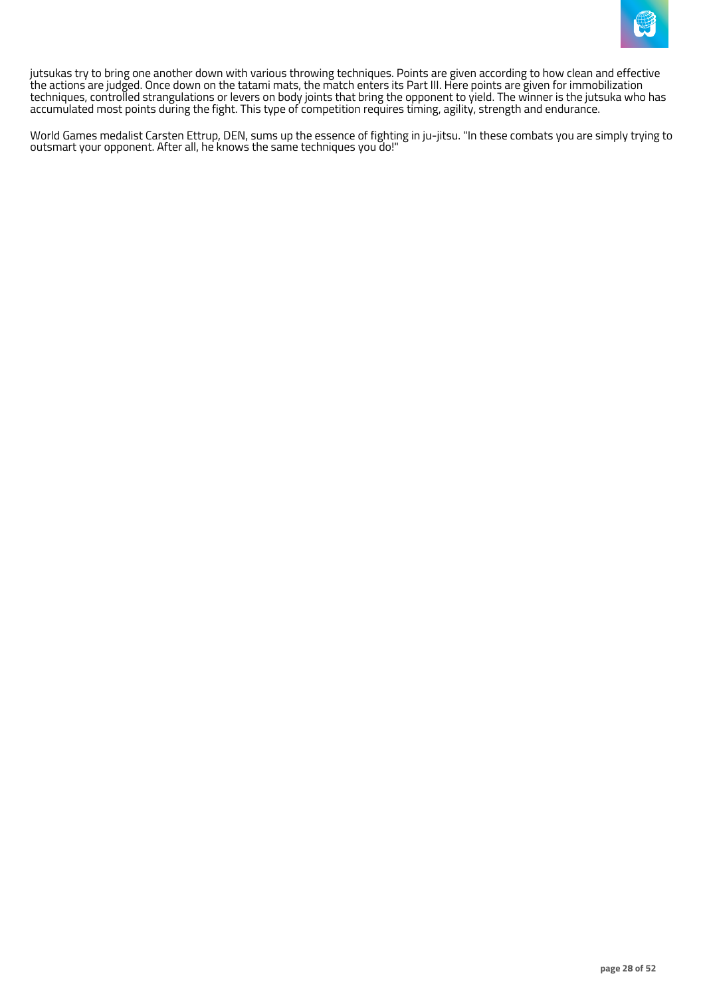

jutsukas try to bring one another down with various throwing techniques. Points are given according to how clean and effective the actions are judged. Once down on the tatami mats, the match enters its Part III. Here points are given for immobilization techniques, controlled strangulations or levers on body joints that bring the opponent to yield. The winner is the jutsuka who has accumulated most points during the fight. This type of competition requires timing, agility, strength and endurance.

World Games medalist Carsten Ettrup, DEN, sums up the essence of fighting in ju-jitsu. "In these combats you are simply trying to outsmart your opponent. After all, he knows the same techniques you do!"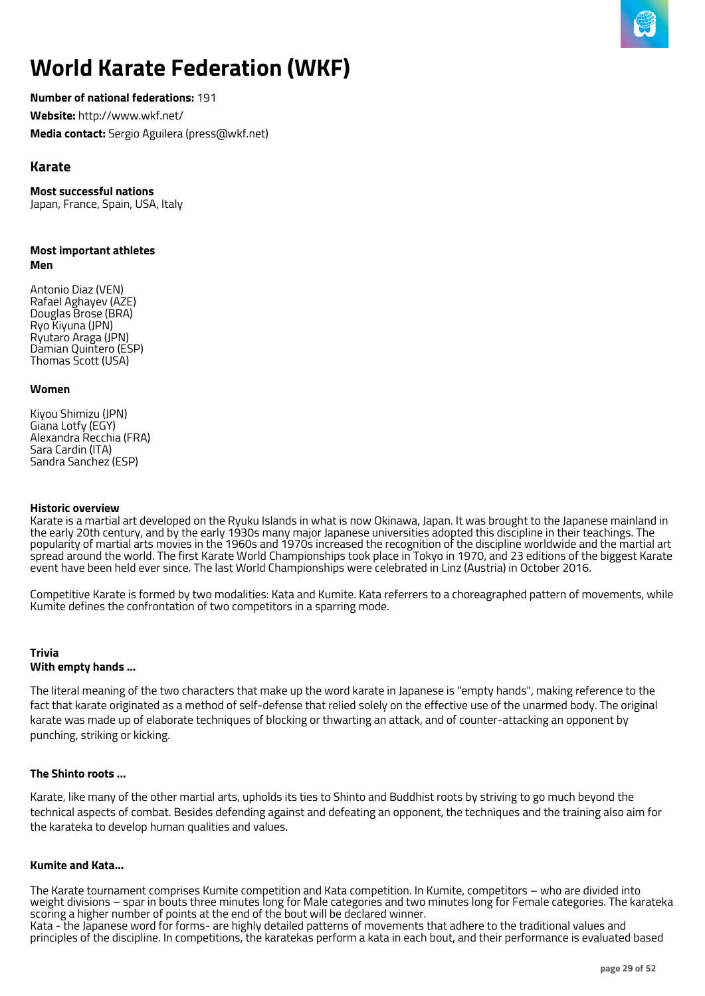

## <span id="page-28-0"></span>**World Karate Federation (WKF)**

**Number of national federations:** 191 **Website:** http://www.wkf.net/ **Media contact:** Sergio Aguilera (press@wkf.net)

## **Karate**

**Most successful nations** Japan, France, Spain, USA, Italy

#### **Most important athletes Men**

Antonio Diaz (VEN) Rafael Aghayev (AZE) Douglas Brose (BRA) Ryo Kiyuna (JPN) Ryutaro Araga (JPN) Damian Quintero (ESP) Thomas Scott (USA)

#### **Women**

Kiyou Shimizu (JPN) Giana Lotfy (EGY) Alexandra Recchia (FRA) Sara Cardin (ITA) Sandra Sanchez (ESP)

#### **Historic overview**

Karate is a martial art developed on the Ryuku Islands in what is now Okinawa, Japan. It was brought to the Japanese mainland in the early 20th century, and by the early 1930s many major Japanese universities adopted this discipline in their teachings. The popularity of martial arts movies in the 1960s and 1970s increased the recognition of the discipline worldwide and the martial art spread around the world. The first Karate World Championships took place in Tokyo in 1970, and 23 editions of the biggest Karate event have been held ever since. The last World Championships were celebrated in Linz (Austria) in October 2016.

Competitive Karate is formed by two modalities: Kata and Kumite. Kata referrers to a choreagraphed pattern of movements, while Kumite defines the confrontation of two competitors in a sparring mode.

## **Trivia**

## **With empty hands ...**

The literal meaning of the two characters that make up the word karate in Japanese is "empty hands", making reference to the fact that karate originated as a method of self-defense that relied solely on the effective use of the unarmed body. The original karate was made up of elaborate techniques of blocking or thwarting an attack, and of counter-attacking an opponent by punching, striking or kicking.

## **The Shinto roots ...**

Karate, like many of the other martial arts, upholds its ties to Shinto and Buddhist roots by striving to go much beyond the technical aspects of combat. Besides defending against and defeating an opponent, the techniques and the training also aim for the karateka to develop human qualities and values.

#### **Kumite and Kata...**

The Karate tournament comprises Kumite competition and Kata competition. In Kumite, competitors – who are divided into weight divisions – spar in bouts three minutes long for Male categories and two minutes long for Female categories. The karateka scoring a higher number of points at the end of the bout will be declared winner. Kata - the Japanese word for forms- are highly detailed patterns of movements that adhere to the traditional values and principles of the discipline. In competitions, the karatekas perform a kata in each bout, and their performance is evaluated based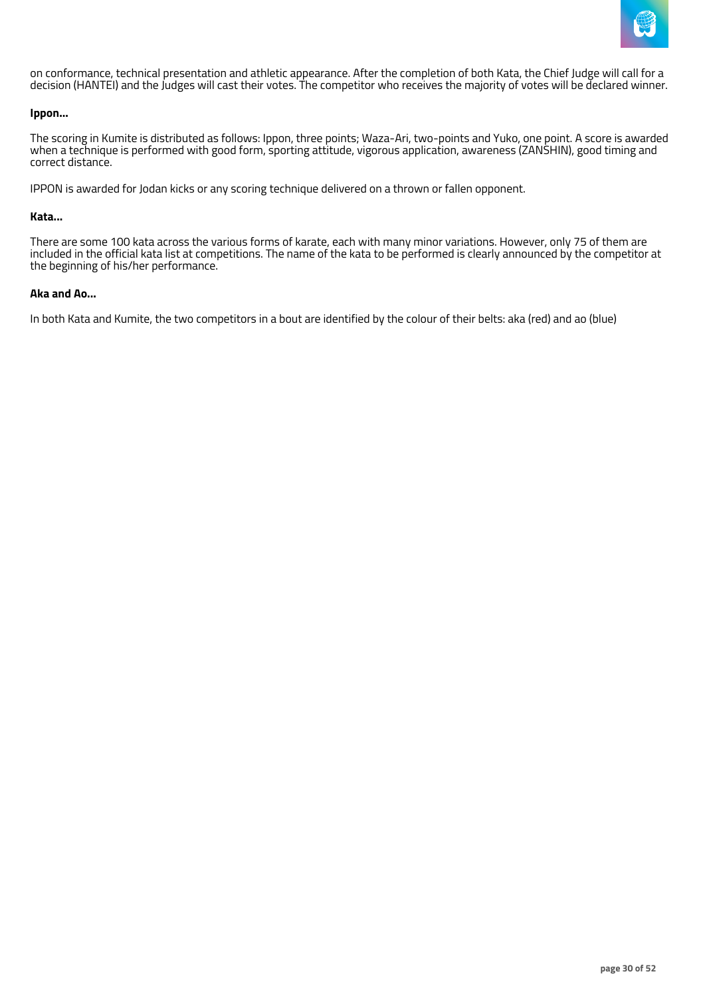

on conformance, technical presentation and athletic appearance. After the completion of both Kata, the Chief Judge will call for a decision (HANTEI) and the Judges will cast their votes. The competitor who receives the majority of votes will be declared winner.

#### **Ippon...**

The scoring in Kumite is distributed as follows: Ippon, three points; Waza-Ari, two-points and Yuko, one point. A score is awarded when a technique is performed with good form, sporting attitude, vigorous application, awareness (ZANSHIN), good timing and correct distance.

IPPON is awarded for Jodan kicks or any scoring technique delivered on a thrown or fallen opponent.

#### **Kata...**

There are some 100 kata across the various forms of karate, each with many minor variations. However, only 75 of them are included in the official kata list at competitions. The name of the kata to be performed is clearly announced by the competitor at the beginning of his/her performance.

#### **Aka and Ao...**

In both Kata and Kumite, the two competitors in a bout are identified by the colour of their belts: aka (red) and ao (blue)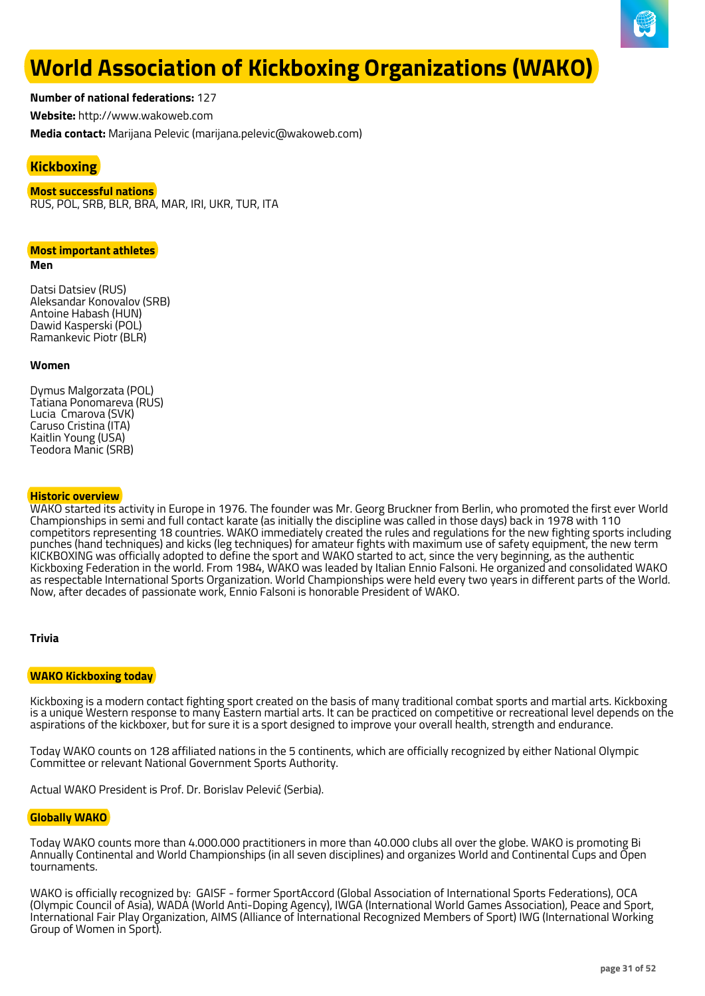## <span id="page-30-0"></span>**World Association of Kickboxing Organizations (WAKO)**

**Number of national federations:** 127

**Website:** http://www.wakoweb.com

**Media contact:** Marijana Pelevic (marijana.pelevic@wakoweb.com)

## **Kickboxing**

**Most successful nations** RUS, POL, SRB, BLR, BRA, MAR, IRI, UKR, TUR, ITA

**Most important athletes**

**Men**

Datsi Datsiev (RUS) Aleksandar Konovalov (SRB) Antoine Habash (HUN) Dawid Kasperski (POL) Ramankevic Piotr (BLR)

#### **Women**

Dymus Malgorzata (POL) Tatiana Ponomareva (RUS) Lucia Cmarova (SVK) Caruso Cristina (ITA) Kaitlin Young (USA) Teodora Manic (SRB)

#### **Historic overview**

WAKO started its activity in Europe in 1976. The founder was Mr. Georg Bruckner from Berlin, who promoted the first ever World Championships in semi and full contact karate (as initially the discipline was called in those days) back in 1978 with 110 competitors representing 18 countries. WAKO immediately created the rules and regulations for the new fighting sports including punches (hand techniques) and kicks (leg techniques) for amateur fights with maximum use of safety equipment, the new term KICKBOXING was officially adopted to define the sport and WAKO started to act, since the very beginning, as the authentic Kickboxing Federation in the world. From 1984, WAKO was leaded by Italian Ennio Falsoni. He organized and consolidated WAKO as respectable International Sports Organization. World Championships were held every two years in different parts of the World. Now, after decades of passionate work, Ennio Falsoni is honorable President of WAKO.

#### **Trivia**

#### **WAKO Kickboxing today**

Kickboxing is a modern contact fighting sport created on the basis of many traditional combat sports and martial arts. Kickboxing is a unique Western response to many Eastern martial arts. It can be practiced on competitive or recreational level depends on the aspirations of the kickboxer, but for sure it is a sport designed to improve your overall health, strength and endurance.

Today WAKO counts on 128 affiliated nations in the 5 continents, which are officially recognized by either National Olympic Committee or relevant National Government Sports Authority.

Actual WAKO President is Prof. Dr. Borislav Pelević (Serbia).

#### **Globally WAKO**

Today WAKO counts more than 4.000.000 practitioners in more than 40.000 clubs all over the globe. WAKO is promoting Bi Annually Continental and World Championships (in all seven disciplines) and organizes World and Continental Cups and Open tournaments.

WAKO is officially recognized by: GAISF - former SportAccord (Global Association of International Sports Federations), OCA (Olympic Council of Asia), WADA (World Anti-Doping Agency), IWGA (International World Games Association), Peace and Sport, International Fair Play Organization, AIMS (Alliance of International Recognized Members of Sport) IWG (International Working Group of Women in Sport).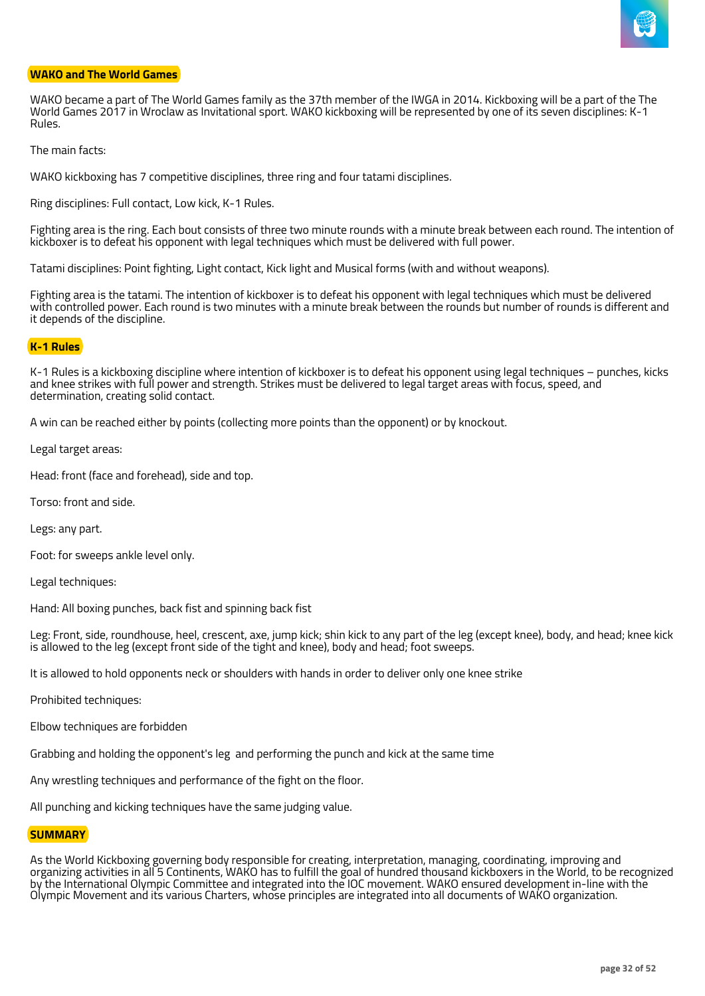

#### **WAKO and The World Games**

WAKO became a part of The World Games family as the 37th member of the IWGA in 2014. Kickboxing will be a part of the The World Games 2017 in Wroclaw as Invitational sport. WAKO kickboxing will be represented by one of its seven disciplines: K-1 Rules.

The main facts:

WAKO kickboxing has 7 competitive disciplines, three ring and four tatami disciplines.

Ring disciplines: Full contact, Low kick, K-1 Rules.

Fighting area is the ring. Each bout consists of three two minute rounds with a minute break between each round. The intention of kickboxer is to defeat his opponent with legal techniques which must be delivered with full power.

Tatami disciplines: Point fighting, Light contact, Kick light and Musical forms (with and without weapons).

Fighting area is the tatami. The intention of kickboxer is to defeat his opponent with legal techniques which must be delivered with controlled power. Each round is two minutes with a minute break between the rounds but number of rounds is different and it depends of the discipline.

#### **K-1 Rules**

K-1 Rules is a kickboxing discipline where intention of kickboxer is to defeat his opponent using legal techniques – punches, kicks and knee strikes with full power and strength. Strikes must be delivered to legal target areas with focus, speed, and determination, creating solid contact.

A win can be reached either by points (collecting more points than the opponent) or by knockout.

Legal target areas:

Head: front (face and forehead), side and top.

Torso: front and side.

Legs: any part.

Foot: for sweeps ankle level only.

Legal techniques:

Hand: All boxing punches, back fist and spinning back fist

Leg: Front, side, roundhouse, heel, crescent, axe, jump kick; shin kick to any part of the leg (except knee), body, and head; knee kick is allowed to the leg (except front side of the tight and knee), body and head; foot sweeps.

It is allowed to hold opponents neck or shoulders with hands in order to deliver only one knee strike

Prohibited techniques:

Elbow techniques are forbidden

Grabbing and holding the opponent's leg and performing the punch and kick at the same time

Any wrestling techniques and performance of the fight on the floor.

All punching and kicking techniques have the same judging value.

#### **SUMMARY**

As the World Kickboxing governing body responsible for creating, interpretation, managing, coordinating, improving and organizing activities in all 5 Continents, WAKO has to fulfill the goal of hundred thousand kickboxers in the World, to be recognized by the International Olympic Committee and integrated into the IOC movement. WAKO ensured development in-line with the Olympic Movement and its various Charters, whose principles are integrated into all documents of WAKO organization.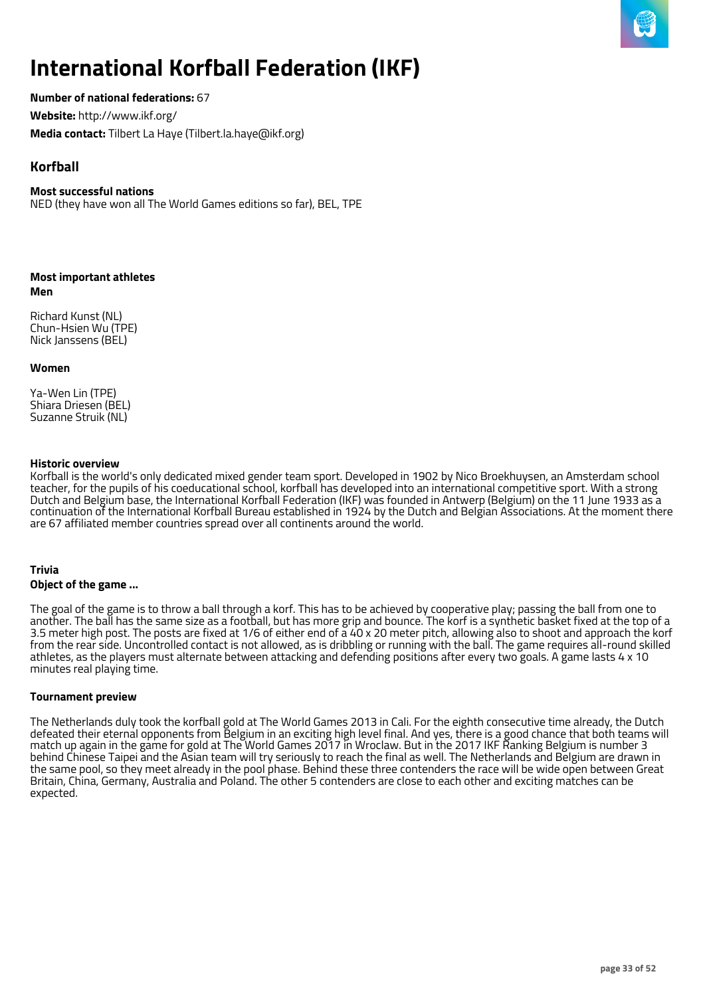## <span id="page-32-0"></span>**International Korfball Federation (IKF)**

**Number of national federations:** 67 **Website:** http://www.ikf.org/ **Media contact:** Tilbert La Haye (Tilbert.la.haye@ikf.org)

## **Korfball**

#### **Most successful nations**

NED (they have won all The World Games editions so far), BEL, TPE

**Most important athletes Men**

Richard Kunst (NL) Chun-Hsien Wu (TPE) Nick Janssens (BEL)

#### **Women**

Ya-Wen Lin (TPE) Shiara Driesen (BEL) Suzanne Struik (NL)

#### **Historic overview**

Korfball is the world's only dedicated mixed gender team sport. Developed in 1902 by Nico Broekhuysen, an Amsterdam school teacher, for the pupils of his coeducational school, korfball has developed into an international competitive sport. With a strong Dutch and Belgium base, the International Korfball Federation (IKF) was founded in Antwerp (Belgium) on the 11 June 1933 as a continuation of the International Korfball Bureau established in 1924 by the Dutch and Belgian Associations. At the moment there are 67 affiliated member countries spread over all continents around the world.

#### **Trivia**

#### **Object of the game ...**

The goal of the game is to throw a ball through a korf. This has to be achieved by cooperative play; passing the ball from one to another. The ball has the same size as a football, but has more grip and bounce. The korf is a synthetic basket fixed at the top of a 3.5 meter high post. The posts are fixed at 1/6 of either end of a 40 x 20 meter pitch, allowing also to shoot and approach the korf from the rear side. Uncontrolled contact is not allowed, as is dribbling or running with the ball. The game requires all-round skilled athletes, as the players must alternate between attacking and defending positions after every two goals. A game lasts 4 x 10 minutes real playing time.

#### **Tournament preview**

The Netherlands duly took the korfball gold at The World Games 2013 in Cali. For the eighth consecutive time already, the Dutch defeated their eternal opponents from Belgium in an exciting high level final. And yes, there is a good chance that both teams will match up again in the game for gold at The World Games 2017 in Wroclaw. But in the 2017 IKF Ranking Belgium is number 3 behind Chinese Taipei and the Asian team will try seriously to reach the final as well. The Netherlands and Belgium are drawn in the same pool, so they meet already in the pool phase. Behind these three contenders the race will be wide open between Great Britain, China, Germany, Australia and Poland. The other 5 contenders are close to each other and exciting matches can be expected.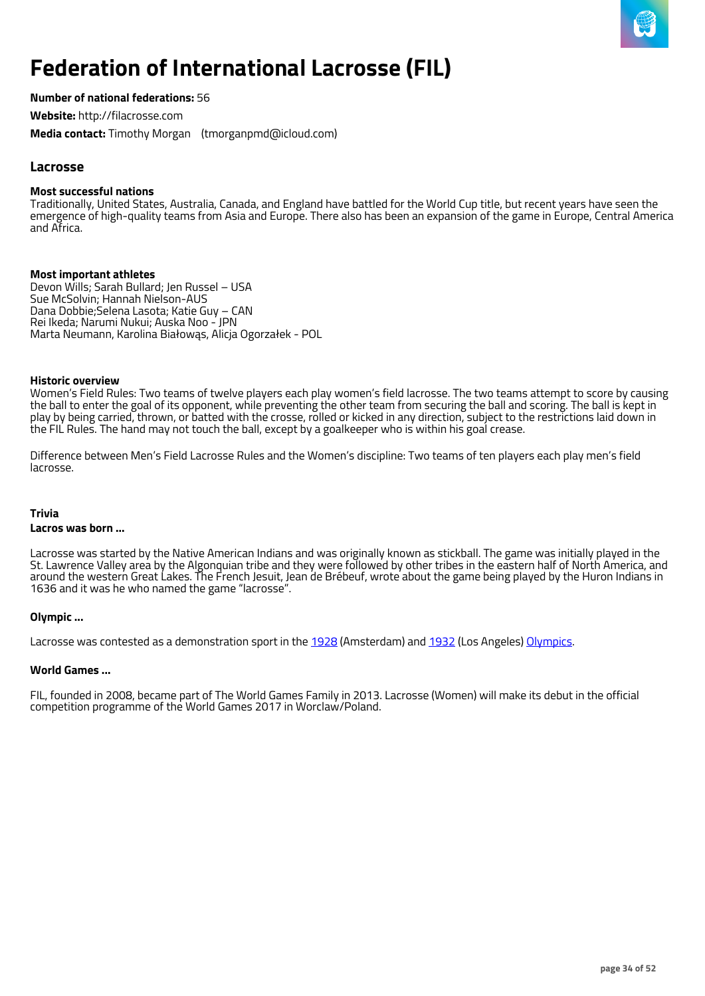<span id="page-33-0"></span>

#### **Number of national federations:** 56

**Website:** http://filacrosse.com

**Media contact:** Timothy Morgan (tmorganpmd@icloud.com)

#### **Lacrosse**

#### **Most successful nations**

Traditionally, United States, Australia, Canada, and England have battled for the World Cup title, but recent years have seen the emergence of high-quality teams from Asia and Europe. There also has been an expansion of the game in Europe, Central America and Africa.

#### **Most important athletes**

Devon Wills; Sarah Bullard; Jen Russel – USA Sue McSolvin; Hannah Nielson-AUS Dana Dobbie;Selena Lasota; Katie Guy – CAN Rei Ikeda; Narumi Nukui; Auska Noo - JPN Marta Neumann, Karolina Białowąs, Alicja Ogorzałek - POL

#### **Historic overview**

Women's Field Rules: Two teams of twelve players each play women's field lacrosse. The two teams attempt to score by causing the ball to enter the goal of its opponent, while preventing the other team from securing the ball and scoring. The ball is kept in play by being carried, thrown, or batted with the crosse, rolled or kicked in any direction, subject to the restrictions laid down in the FIL Rules. The hand may not touch the ball, except by a goalkeeper who is within his goal crease.

Difference between Men's Field Lacrosse Rules and the Women's discipline: Two teams of ten players each play men's field lacrosse.

#### **Trivia**

#### **Lacros was born ...**

Lacrosse was started by the Native American Indians and was originally known as stickball. The game was initially played in the St. Lawrence Valley area by the Algonquian tribe and they were followed by other tribes in the eastern half of North America, and around the western Great Lakes. The French Jesuit, Jean de Brébeuf, wrote about the game being played by the Huron Indians in 1636 and it was he who named the game "lacrosse".

#### **Olympic ...**

Lacrosse was contested as a demonstration sport in the [1928](http://en.wikipedia.org/wiki/1928_Summer_Olympics) (Amsterdam) and [1932](http://en.wikipedia.org/wiki/1932_Summer_Olympics) (Los Angeles) [Olympics](http://en.wikipedia.org/wiki/Summer_Olympic_Games).

#### **World Games ...**

FIL, founded in 2008, became part of The World Games Family in 2013. Lacrosse (Women) will make its debut in the official competition programme of the World Games 2017 in Worclaw/Poland.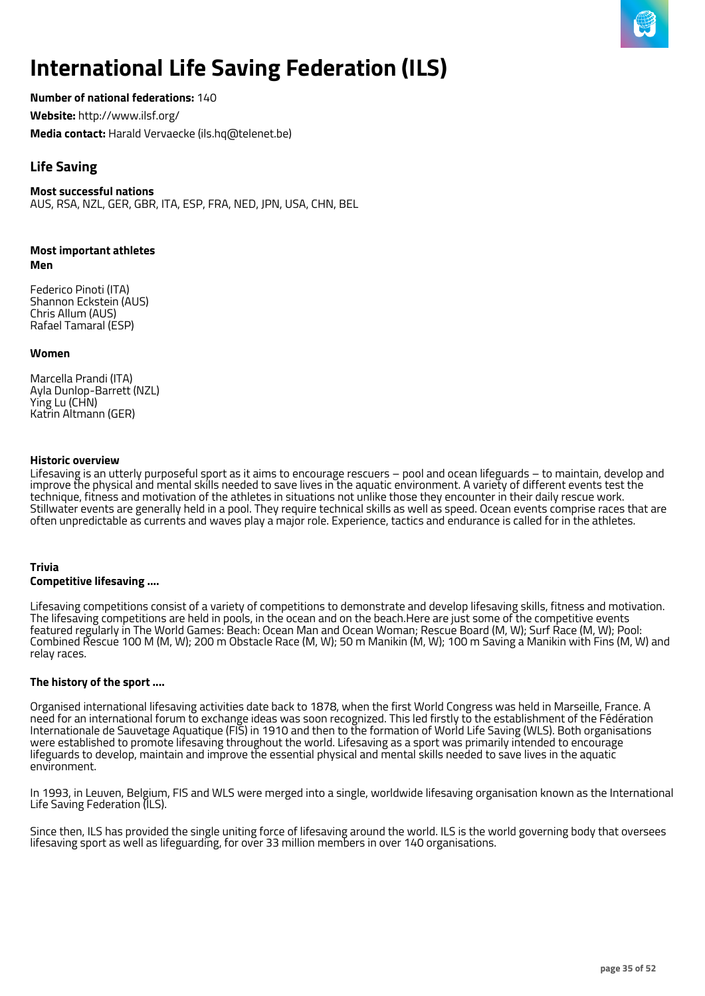## <span id="page-34-0"></span>**International Life Saving Federation (ILS)**

**Number of national federations:** 140 **Website:** http://www.ilsf.org/ **Media contact:** Harald Vervaecke (ils.hq@telenet.be)

## **Life Saving**

**Most successful nations** AUS, RSA, NZL, GER, GBR, ITA, ESP, FRA, NED, JPN, USA, CHN, BEL

#### **Most important athletes Men**

Federico Pinoti (ITA) Shannon Eckstein (AUS) Chris Allum (AUS) Rafael Tamaral (ESP)

#### **Women**

Marcella Prandi (ITA) Ayla Dunlop-Barrett (NZL) Ying Lu (CHN) Katrin Altmann (GER)

#### **Historic overview**

Lifesaving is an utterly purposeful sport as it aims to encourage rescuers – pool and ocean lifeguards – to maintain, develop and improve the physical and mental skills needed to save lives in the aquatic environment. A variety of different events test the technique, fitness and motivation of the athletes in situations not unlike those they encounter in their daily rescue work. Stillwater events are generally held in a pool. They require technical skills as well as speed. Ocean events comprise races that are often unpredictable as currents and waves play a major role. Experience, tactics and endurance is called for in the athletes.

## **Trivia**

#### **Competitive lifesaving ....**

Lifesaving competitions consist of a variety of competitions to demonstrate and develop lifesaving skills, fitness and motivation. The lifesaving competitions are held in pools, in the ocean and on the beach.Here are just some of the competitive events featured regularly in The World Games: Beach: Ocean Man and Ocean Woman; Rescue Board (M, W); Surf Race (M, W); Pool: Combined Rescue 100 M (M, W); 200 m Obstacle Race (M, W); 50 m Manikin (M, W); 100 m Saving a Manikin with Fins (M, W) and relay races.

## **The history of the sport ....**

Organised international lifesaving activities date back to 1878, when the first World Congress was held in Marseille, France. A need for an international forum to exchange ideas was soon recognized. This led firstly to the establishment of the Fédération Internationale de Sauvetage Aquatique (FIS) in 1910 and then to the formation of World Life Saving (WLS). Both organisations were established to promote lifesaving throughout the world. Lifesaving as a sport was primarily intended to encourage lifeguards to develop, maintain and improve the essential physical and mental skills needed to save lives in the aquatic environment.

In 1993, in Leuven, Belgium, FIS and WLS were merged into a single, worldwide lifesaving organisation known as the International Life Saving Federation (ILS).

Since then, ILS has provided the single uniting force of lifesaving around the world. ILS is the world governing body that oversees lifesaving sport as well as lifeguarding, for over 33 million members in over 140 organisations.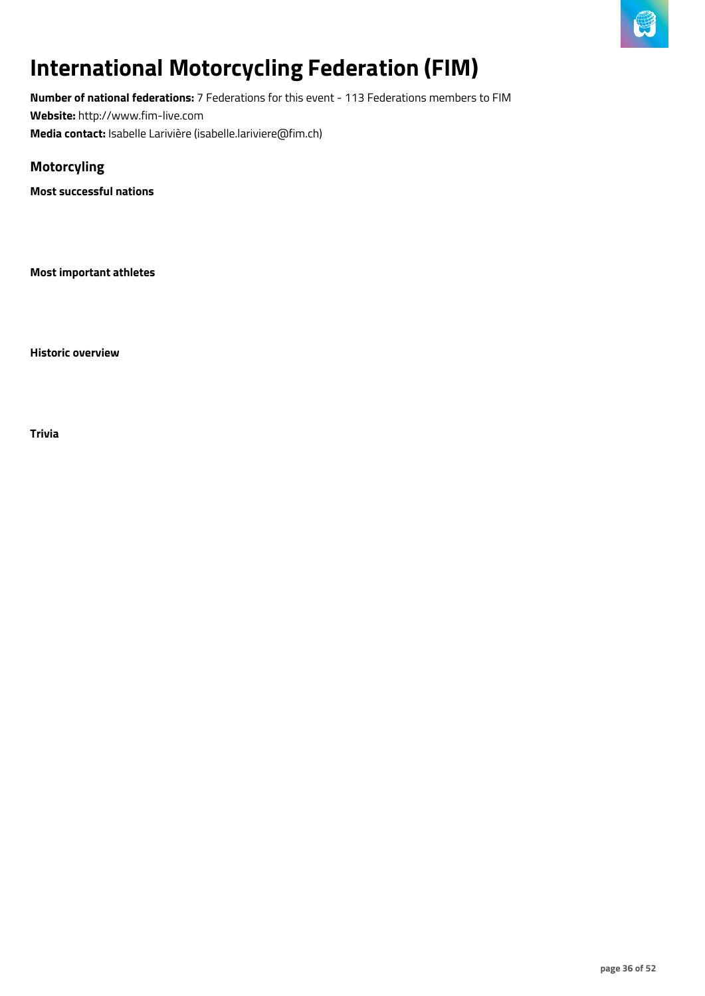<span id="page-35-0"></span>

**Number of national federations:** 7 Federations for this event - 113 Federations members to FIM **Website:** http://www.fim-live.com **Media contact:** Isabelle Larivière (isabelle.lariviere@fim.ch)

## **Motorcyling**

**Most successful nations**

**Most important athletes**

**Historic overview**

**Trivia**

S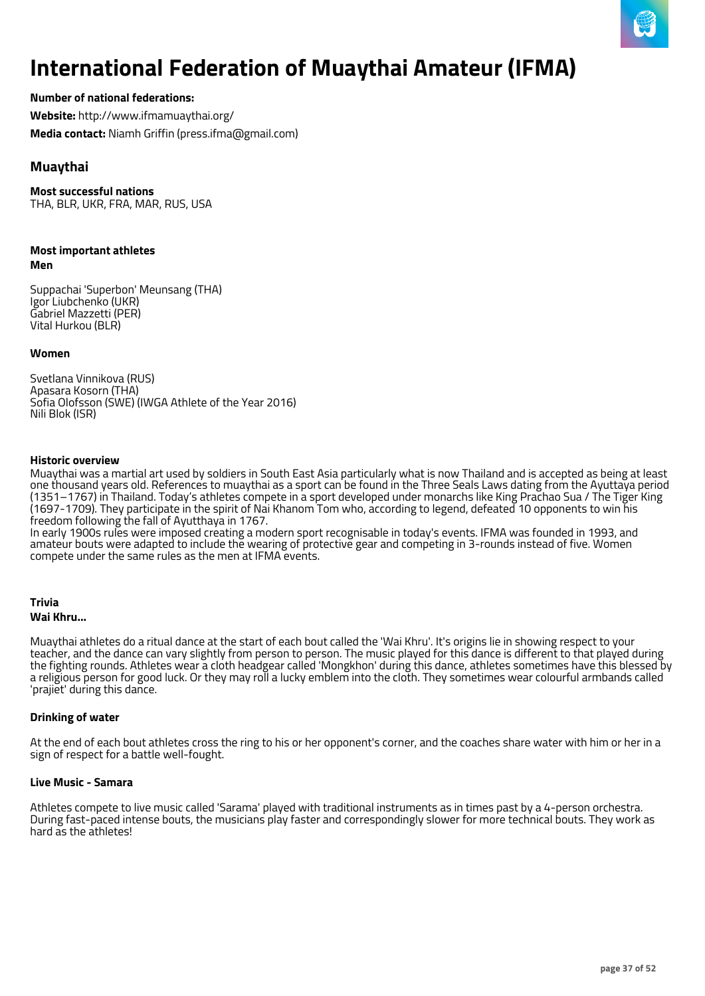## <span id="page-36-0"></span>**International Federation of Muaythai Amateur (IFMA)**



### **Number of national federations:**

**Website:** http://www.ifmamuaythai.org/ **Media contact:** Niamh Griffin (press.ifma@gmail.com)

## **Muaythai**

**Most successful nations** THA, BLR, UKR, FRA, MAR, RUS, USA

#### **Most important athletes Men**

Suppachai 'Superbon' Meunsang (THA) Igor Liubchenko (UKR) Gabriel Mazzetti (PER) Vital Hurkou (BLR)

#### **Women**

Svetlana Vinnikova (RUS) Apasara Kosorn (THA) Sofia Olofsson (SWE) (IWGA Athlete of the Year 2016) Nili Blok (ISR)

#### **Historic overview**

Muaythai was a martial art used by soldiers in South East Asia particularly what is now Thailand and is accepted as being at least one thousand years old. References to muaythai as a sport can be found in the Three Seals Laws dating from the Ayuttaya period (1351–1767) in Thailand. Today's athletes compete in a sport developed under monarchs like King Prachao Sua / The Tiger King (1697-1709). They participate in the spirit of Nai Khanom Tom who, according to legend, defeated 10 opponents to win his freedom following the fall of Ayutthaya in 1767.

In early 1900s rules were imposed creating a modern sport recognisable in today's events. IFMA was founded in 1993, and amateur bouts were adapted to include the wearing of protective gear and competing in 3-rounds instead of five. Women compete under the same rules as the men at IFMA events.

#### **Trivia Wai Khru...**

Muaythai athletes do a ritual dance at the start of each bout called the 'Wai Khru'. It's origins lie in showing respect to your teacher, and the dance can vary slightly from person to person. The music played for this dance is different to that played during the fighting rounds. Athletes wear a cloth headgear called 'Mongkhon' during this dance, athletes sometimes have this blessed by a religious person for good luck. Or they may roll a lucky emblem into the cloth. They sometimes wear colourful armbands called 'prajiet' during this dance.

#### **Drinking of water**

At the end of each bout athletes cross the ring to his or her opponent's corner, and the coaches share water with him or her in a sign of respect for a battle well-fought.

#### **Live Music - Samara**

Athletes compete to live music called 'Sarama' played with traditional instruments as in times past by a 4-person orchestra. During fast-paced intense bouts, the musicians play faster and correspondingly slower for more technical bouts. They work as hard as the athletes!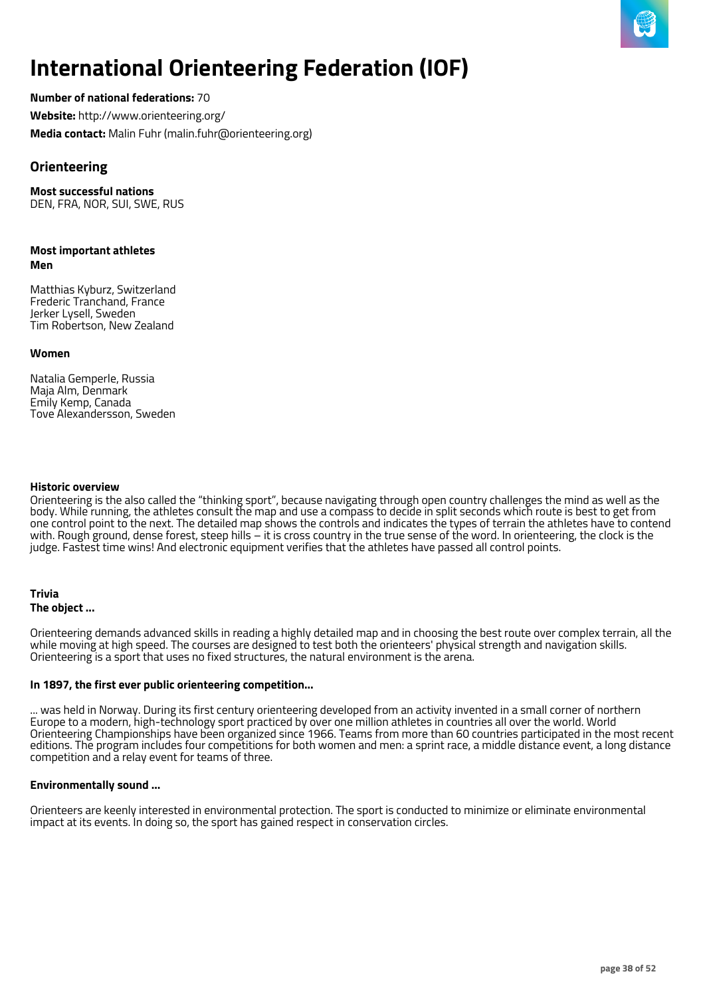## <span id="page-37-0"></span>**International Orienteering Federation (IOF)**

**Number of national federations:** 70 **Website:** http://www.orienteering.org/ **Media contact:** Malin Fuhr (malin.fuhr@orienteering.org)

## **Orienteering**

**Most successful nations** DEN, FRA, NOR, SUI, SWE, RUS

#### **Most important athletes Men**

Matthias Kyburz, Switzerland Frederic Tranchand, France Jerker Lysell, Sweden Tim Robertson, New Zealand

#### **Women**

Natalia Gemperle, Russia Maja Alm, Denmark Emily Kemp, Canada Tove Alexandersson, Sweden

#### **Historic overview**

Orienteering is the also called the "thinking sport", because navigating through open country challenges the mind as well as the body. While running, the athletes consult the map and use a compass to decide in split seconds which route is best to get from one control point to the next. The detailed map shows the controls and indicates the types of terrain the athletes have to contend with. Rough ground, dense forest, steep hills – it is cross country in the true sense of the word. In orienteering, the clock is the judge. Fastest time wins! And electronic equipment verifies that the athletes have passed all control points.

## **Trivia**

**The object ...**

Orienteering demands advanced skills in reading a highly detailed map and in choosing the best route over complex terrain, all the while moving at high speed. The courses are designed to test both the orienteers' physical strength and navigation skills. Orienteering is a sport that uses no fixed structures, the natural environment is the arena.

## **In 1897, the first ever public orienteering competition…**

... was held in Norway. During its first century orienteering developed from an activity invented in a small corner of northern Europe to a modern, high-technology sport practiced by over one million athletes in countries all over the world. World Orienteering Championships have been organized since 1966. Teams from more than 60 countries participated in the most recent editions. The program includes four competitions for both women and men: a sprint race, a middle distance event, a long distance competition and a relay event for teams of three.

## **Environmentally sound ...**

Orienteers are keenly interested in environmental protection. The sport is conducted to minimize or eliminate environmental impact at its events. In doing so, the sport has gained respect in conservation circles.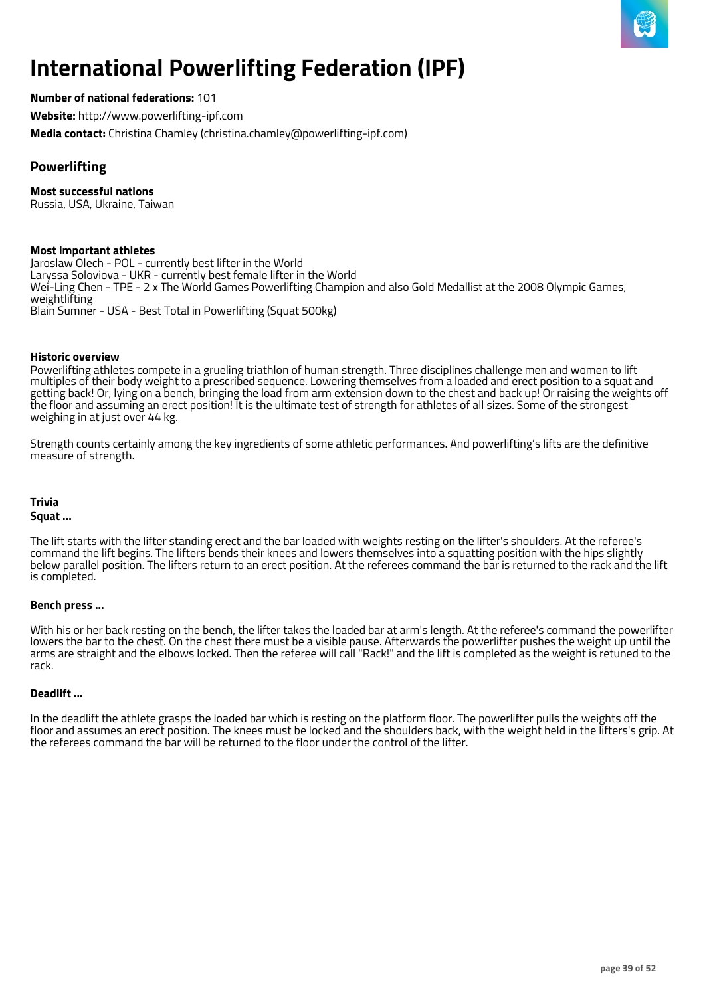## <span id="page-38-0"></span>**International Powerlifting Federation (IPF)**

**Number of national federations:** 101

**Website:** http://www.powerlifting-ipf.com

**Media contact:** Christina Chamley (christina.chamley@powerlifting-ipf.com)

## **Powerlifting**

**Most successful nations** Russia, USA, Ukraine, Taiwan

### **Most important athletes**

Jaroslaw Olech - POL - currently best lifter in the World Laryssa Soloviova - UKR - currently best female lifter in the World Wei-Ling Chen - TPE - 2 x The World Games Powerlifting Champion and also Gold Medallist at the 2008 Olympic Games, weightlifting Blain Sumner - USA - Best Total in Powerlifting (Squat 500kg)

#### **Historic overview**

Powerlifting athletes compete in a grueling triathlon of human strength. Three disciplines challenge men and women to lift multiples of their body weight to a prescribed sequence. Lowering themselves from a loaded and erect position to a squat and getting back! Or, lying on a bench, bringing the load from arm extension down to the chest and back up! Or raising the weights off the floor and assuming an erect position! It is the ultimate test of strength for athletes of all sizes. Some of the strongest weighing in at just over 44 kg.

Strength counts certainly among the key ingredients of some athletic performances. And powerlifting's lifts are the definitive measure of strength.

#### **Trivia Squat ...**

The lift starts with the lifter standing erect and the bar loaded with weights resting on the lifter's shoulders. At the referee's command the lift begins. The lifters bends their knees and lowers themselves into a squatting position with the hips slightly below parallel position. The lifters return to an erect position. At the referees command the bar is returned to the rack and the lift is completed.

#### **Bench press ...**

With his or her back resting on the bench, the lifter takes the loaded bar at arm's length. At the referee's command the powerlifter lowers the bar to the chest. On the chest there must be a visible pause. Afterwards the powerlifter pushes the weight up until the arms are straight and the elbows locked. Then the referee will call "Rack!" and the lift is completed as the weight is retuned to the rack.

## **Deadlift ...**

In the deadlift the athlete grasps the loaded bar which is resting on the platform floor. The powerlifter pulls the weights off the floor and assumes an erect position. The knees must be locked and the shoulders back, with the weight held in the lifters's grip. At the referees command the bar will be returned to the floor under the control of the lifter.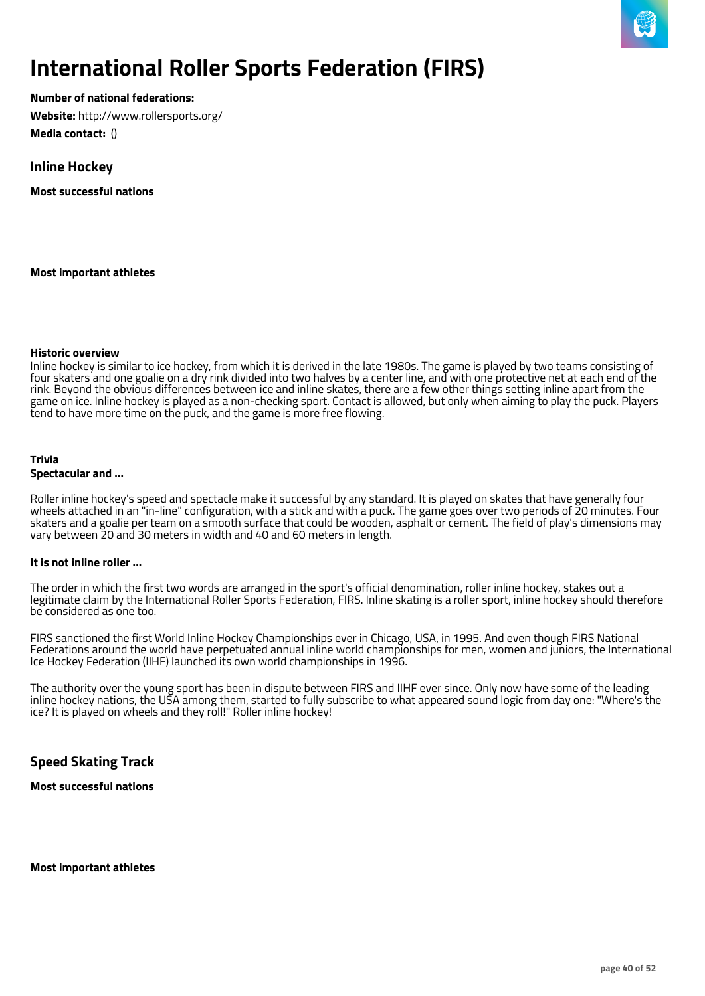## <span id="page-39-0"></span>**International Roller Sports Federation (FIRS)**

**Number of national federations: Website:** http://www.rollersports.org/

**Media contact:** ()

**Inline Hockey**

**Most successful nations**

**Most important athletes**

#### **Historic overview**

Inline hockey is similar to ice hockey, from which it is derived in the late 1980s. The game is played by two teams consisting of four skaters and one goalie on a dry rink divided into two halves by a center line, and with one protective net at each end of the rink. Beyond the obvious differences between ice and inline skates, there are a few other things setting inline apart from the game on ice. Inline hockey is played as a non-checking sport. Contact is allowed, but only when aiming to play the puck. Players tend to have more time on the puck, and the game is more free flowing.

#### **Trivia Spectacular and ...**

Roller inline hockey's speed and spectacle make it successful by any standard. It is played on skates that have generally four wheels attached in an "in-line" configuration, with a stick and with a puck. The game goes over two periods of 20 minutes. Four skaters and a goalie per team on a smooth surface that could be wooden, asphalt or cement. The field of play's dimensions may vary between 20 and 30 meters in width and 40 and 60 meters in length.

#### **It is not inline roller ...**

The order in which the first two words are arranged in the sport's official denomination, roller inline hockey, stakes out a legitimate claim by the International Roller Sports Federation, FIRS. Inline skating is a roller sport, inline hockey should therefore be considered as one too.

FIRS sanctioned the first World Inline Hockey Championships ever in Chicago, USA, in 1995. And even though FIRS National Federations around the world have perpetuated annual inline world championships for men, women and juniors, the International Ice Hockey Federation (IIHF) launched its own world championships in 1996.

The authority over the young sport has been in dispute between FIRS and IIHF ever since. Only now have some of the leading inline hockey nations, the USA among them, started to fully subscribe to what appeared sound logic from day one: "Where's the ice? It is played on wheels and they roll!" Roller inline hockey!

## **Speed Skating Track**

**Most successful nations**

**Most important athletes**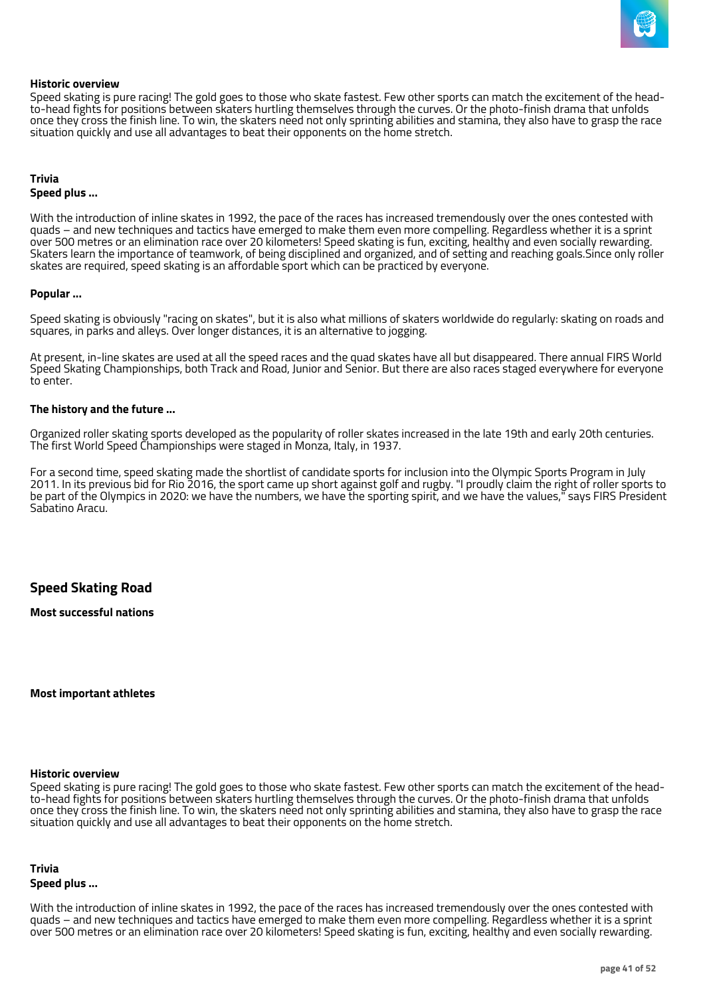

#### **Historic overview**

Speed skating is pure racing! The gold goes to those who skate fastest. Few other sports can match the excitement of the headto-head fights for positions between skaters hurtling themselves through the curves. Or the photo-finish drama that unfolds once they cross the finish line. To win, the skaters need not only sprinting abilities and stamina, they also have to grasp the race situation quickly and use all advantages to beat their opponents on the home stretch.

#### **Trivia Speed plus ...**

With the introduction of inline skates in 1992, the pace of the races has increased tremendously over the ones contested with quads – and new techniques and tactics have emerged to make them even more compelling. Regardless whether it is a sprint over 500 metres or an elimination race over 20 kilometers! Speed skating is fun, exciting, healthy and even socially rewarding. Skaters learn the importance of teamwork, of being disciplined and organized, and of setting and reaching goals.Since only roller skates are required, speed skating is an affordable sport which can be practiced by everyone.

#### **Popular ...**

Speed skating is obviously "racing on skates", but it is also what millions of skaters worldwide do regularly: skating on roads and squares, in parks and alleys. Over longer distances, it is an alternative to jogging.

At present, in-line skates are used at all the speed races and the quad skates have all but disappeared. There annual FIRS World Speed Skating Championships, both Track and Road, Junior and Senior. But there are also races staged everywhere for everyone to enter.

## **The history and the future ...**

Organized roller skating sports developed as the popularity of roller skates increased in the late 19th and early 20th centuries. The first World Speed Championships were staged in Monza, Italy, in 1937.

For a second time, speed skating made the shortlist of candidate sports for inclusion into the Olympic Sports Program in July 2011. In its previous bid for Rio 2016, the sport came up short against golf and rugby. "I proudly claim the right of roller sports to be part of the Olympics in 2020: we have the numbers, we have the sporting spirit, and we have the values," says FIRS President Sabatino Aracu.

## **Speed Skating Road**

**Most successful nations**

**Most important athletes**

#### **Historic overview**

Speed skating is pure racing! The gold goes to those who skate fastest. Few other sports can match the excitement of the headto-head fights for positions between skaters hurtling themselves through the curves. Or the photo-finish drama that unfolds once they cross the finish line. To win, the skaters need not only sprinting abilities and stamina, they also have to grasp the race situation quickly and use all advantages to beat their opponents on the home stretch.

#### **Trivia Speed plus ...**

With the introduction of inline skates in 1992, the pace of the races has increased tremendously over the ones contested with quads – and new techniques and tactics have emerged to make them even more compelling. Regardless whether it is a sprint over 500 metres or an elimination race over 20 kilometers! Speed skating is fun, exciting, healthy and even socially rewarding.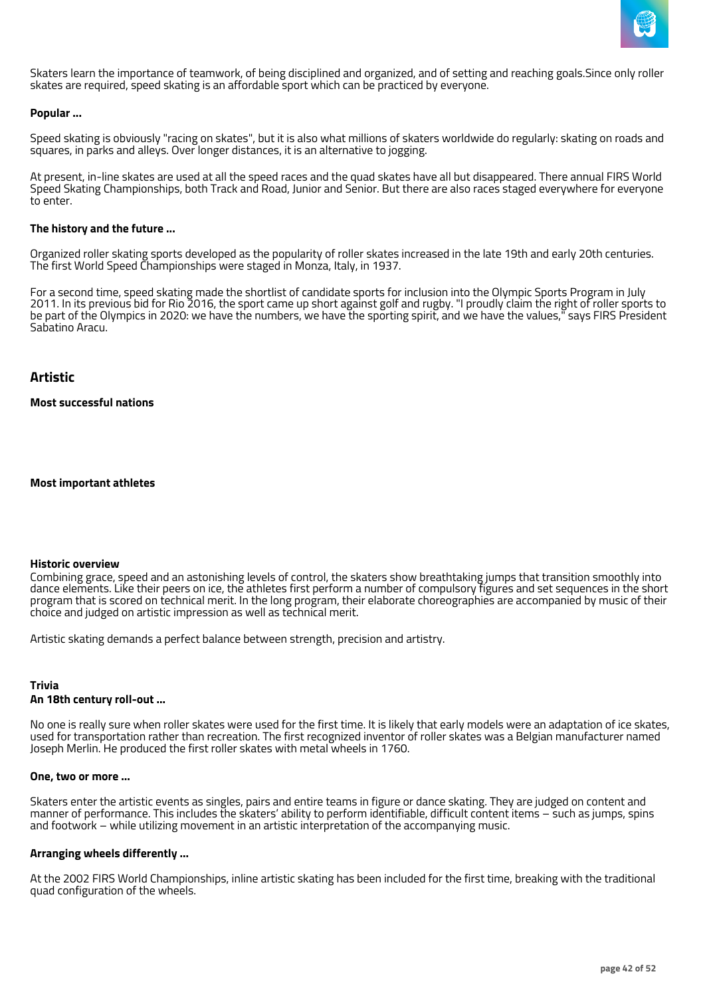

Skaters learn the importance of teamwork, of being disciplined and organized, and of setting and reaching goals.Since only roller skates are required, speed skating is an affordable sport which can be practiced by everyone.

#### **Popular ...**

Speed skating is obviously "racing on skates", but it is also what millions of skaters worldwide do regularly: skating on roads and squares, in parks and alleys. Over longer distances, it is an alternative to jogging.

At present, in-line skates are used at all the speed races and the quad skates have all but disappeared. There annual FIRS World Speed Skating Championships, both Track and Road, Junior and Senior. But there are also races staged everywhere for everyone to enter.

#### **The history and the future ...**

Organized roller skating sports developed as the popularity of roller skates increased in the late 19th and early 20th centuries. The first World Speed Championships were staged in Monza, Italy, in 1937.

For a second time, speed skating made the shortlist of candidate sports for inclusion into the Olympic Sports Program in July 2011. In its previous bid for Rio 2016, the sport came up short against golf and rugby. "I proudly claim the right of roller sports to be part of the Olympics in 2020: we have the numbers, we have the sporting spirit, and we have the values," says FIRS President Sabatino Aracu.

#### **Artistic**

#### **Most successful nations**

**Most important athletes**

#### **Historic overview**

Combining grace, speed and an astonishing levels of control, the skaters show breathtaking jumps that transition smoothly into dance elements. Like their peers on ice, the athletes first perform a number of compulsory figures and set sequences in the short program that is scored on technical merit. In the long program, their elaborate choreographies are accompanied by music of their choice and judged on artistic impression as well as technical merit.

Artistic skating demands a perfect balance between strength, precision and artistry.

## **Trivia**

#### **An 18th century roll-out ...**

No one is really sure when roller skates were used for the first time. It is likely that early models were an adaptation of ice skates, used for transportation rather than recreation. The first recognized inventor of roller skates was a Belgian manufacturer named Joseph Merlin. He produced the first roller skates with metal wheels in 1760.

#### **One, two or more ...**

Skaters enter the artistic events as singles, pairs and entire teams in figure or dance skating. They are judged on content and manner of performance. This includes the skaters' ability to perform identifiable, difficult content items – such as jumps, spins and footwork – while utilizing movement in an artistic interpretation of the accompanying music.

#### **Arranging wheels differently ...**

At the 2002 FIRS World Championships, inline artistic skating has been included for the first time, breaking with the traditional quad configuration of the wheels.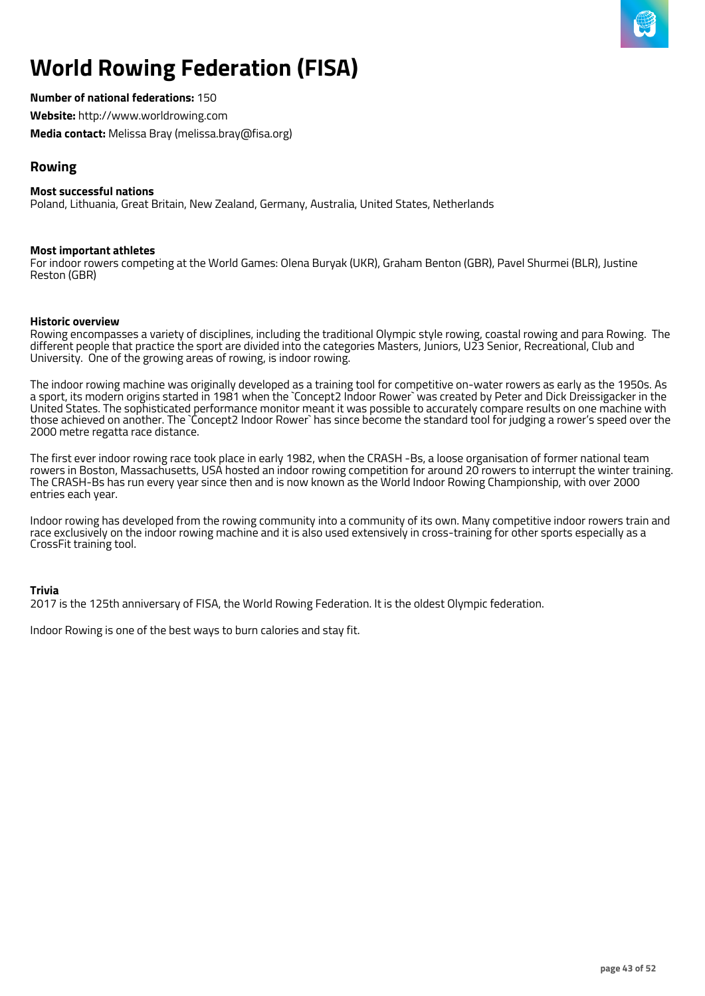## <span id="page-42-0"></span>**World Rowing Federation (FISA)**

**Number of national federations:** 150 **Website:** http://www.worldrowing.com **Media contact:** Melissa Bray (melissa.bray@fisa.org)

## **Rowing**

#### **Most successful nations**

Poland, Lithuania, Great Britain, New Zealand, Germany, Australia, United States, Netherlands

#### **Most important athletes**

For indoor rowers competing at the World Games: Olena Buryak (UKR), Graham Benton (GBR), Pavel Shurmei (BLR), Justine Reston (GBR)

#### **Historic overview**

Rowing encompasses a variety of disciplines, including the traditional Olympic style rowing, coastal rowing and para Rowing. The different people that practice the sport are divided into the categories Masters, Juniors, U23 Senior, Recreational, Club and University. One of the growing areas of rowing, is indoor rowing.

The indoor rowing machine was originally developed as a training tool for competitive on-water rowers as early as the 1950s. As a sport, its modern origins started in 1981 when the `Concept2 Indoor Rower` was created by Peter and Dick Dreissigacker in the United States. The sophisticated performance monitor meant it was possible to accurately compare results on one machine with those achieved on another. The `Concept2 Indoor Rower` has since become the standard tool for judging a rower's speed over the 2000 metre regatta race distance.

The first ever indoor rowing race took place in early 1982, when the CRASH -Bs, a loose organisation of former national team rowers in Boston, Massachusetts, USA hosted an indoor rowing competition for around 20 rowers to interrupt the winter training. The CRASH-Bs has run every year since then and is now known as the World Indoor Rowing Championship, with over 2000 entries each year.

Indoor rowing has developed from the rowing community into a community of its own. Many competitive indoor rowers train and race exclusively on the indoor rowing machine and it is also used extensively in cross-training for other sports especially as a CrossFit training tool.

#### **Trivia**

2017 is the 125th anniversary of FISA, the World Rowing Federation. It is the oldest Olympic federation.

Indoor Rowing is one of the best ways to burn calories and stay fit.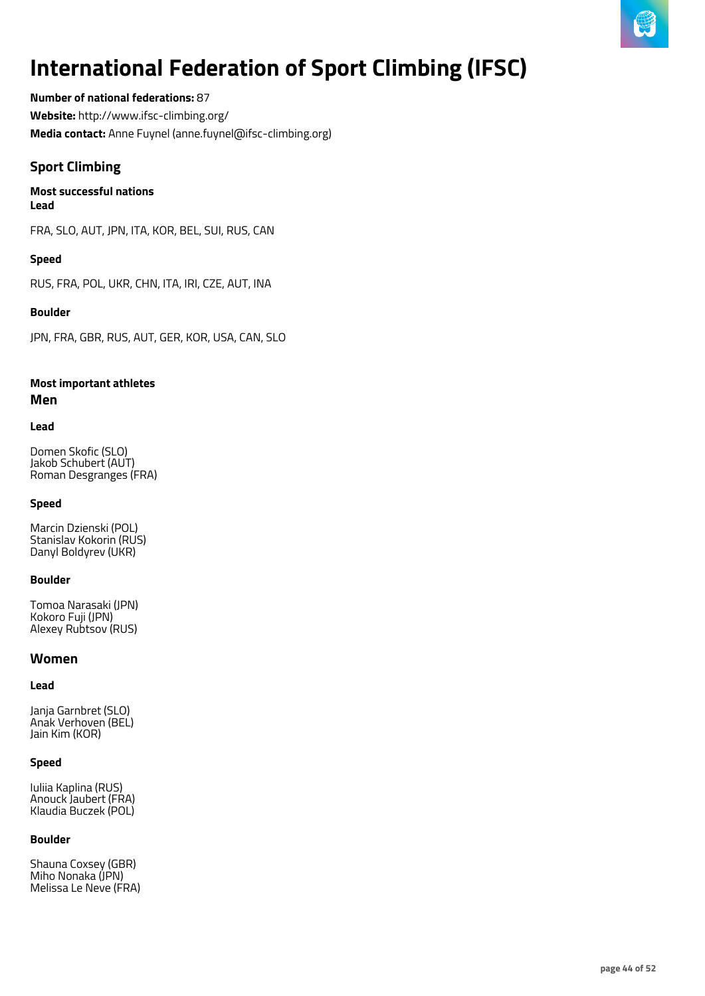## <span id="page-43-0"></span>**International Federation of Sport Climbing (IFSC)**

**Number of national federations:** 87 **Website:** http://www.ifsc-climbing.org/ **Media contact:** Anne Fuynel (anne.fuynel@ifsc-climbing.org)

## **Sport Climbing**

**Most successful nations Lead**

FRA, SLO, AUT, JPN, ITA, KOR, BEL, SUI, RUS, CAN

## **Speed**

RUS, FRA, POL, UKR, CHN, ITA, IRI, CZE, AUT, INA

## **Boulder**

JPN, FRA, GBR, RUS, AUT, GER, KOR, USA, CAN, SLO

#### **Most important athletes Men**

## **Lead**

Domen Skofic (SLO) Jakob Schubert (AUT) Roman Desgranges (FRA)

## **Speed**

Marcin Dzienski (POL) Stanislav Kokorin (RUS) Danyl Boldyrev (UKR)

## **Boulder**

Tomoa Narasaki (JPN) Kokoro Fuji (JPN) Alexey Rubtsov (RUS)

## **Women**

## **Lead**

Janja Garnbret (SLO) Anak Verhoven (BEL) Jain Kim (KOR)

## **Speed**

Iuliia Kaplina (RUS) Anouck Jaubert (FRA) Klaudia Buczek (POL)

## **Boulder**

Shauna Coxsey (GBR) Miho Nonaka (JPN) Melissa Le Neve (FRA) 0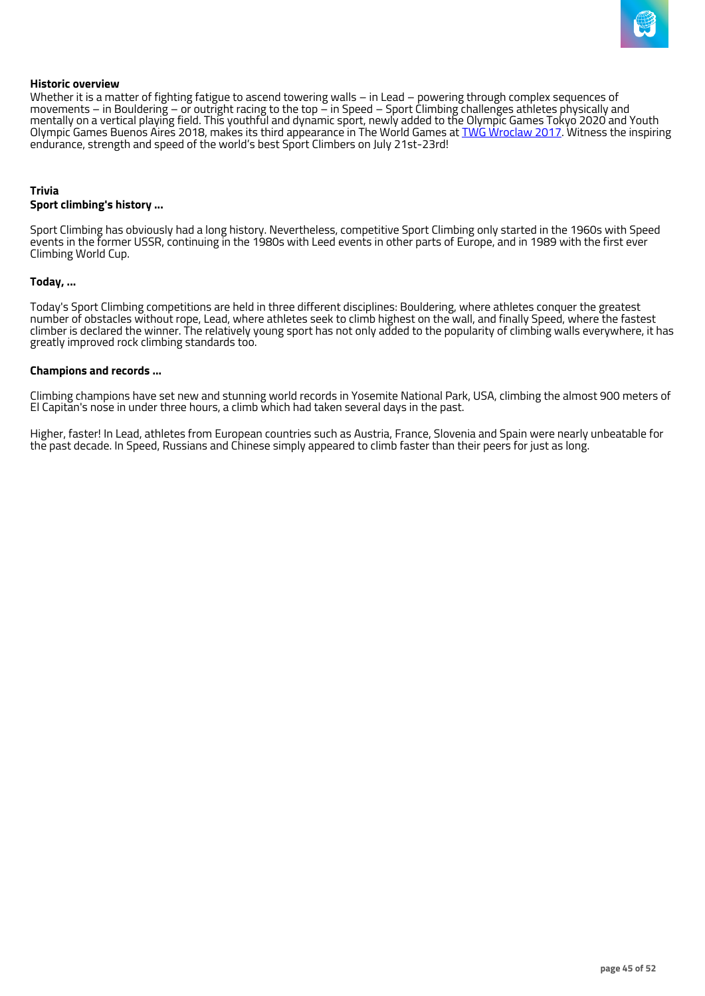

#### **Historic overview**

Whether it is a matter of fighting fatigue to ascend towering walls – in Lead – powering through complex sequences of movements – in Bouldering – or outright racing to the top – in Speed – Sport Climbing challenges athletes physically and mentally on a vertical playing field. This youthful and dynamic sport, newly added to the Olympic Games Tokyo 2020 and Youth Olympic Games Buenos Aires 2018, makes its third appearance in The World Games at [TWG Wroclaw 2017](http://theworldgames2017.com/en/). Witness the inspiring endurance, strength and speed of the world's best Sport Climbers on July 21st-23rd!

#### **Trivia**

#### **Sport climbing's history ...**

Sport Climbing has obviously had a long history. Nevertheless, competitive Sport Climbing only started in the 1960s with Speed events in the former USSR, continuing in the 1980s with Leed events in other parts of Europe, and in 1989 with the first ever Climbing World Cup.

#### **Today, ...**

Today's Sport Climbing competitions are held in three different disciplines: Bouldering, where athletes conquer the greatest number of obstacles without rope, Lead, where athletes seek to climb highest on the wall, and finally Speed, where the fastest climber is declared the winner. The relatively young sport has not only added to the popularity of climbing walls everywhere, it has greatly improved rock climbing standards too.

#### **Champions and records ...**

Climbing champions have set new and stunning world records in Yosemite National Park, USA, climbing the almost 900 meters of El Capitan's nose in under three hours, a climb which had taken several days in the past.

Higher, faster! In Lead, athletes from European countries such as Austria, France, Slovenia and Spain were nearly unbeatable for the past decade. In Speed, Russians and Chinese simply appeared to climb faster than their peers for just as long.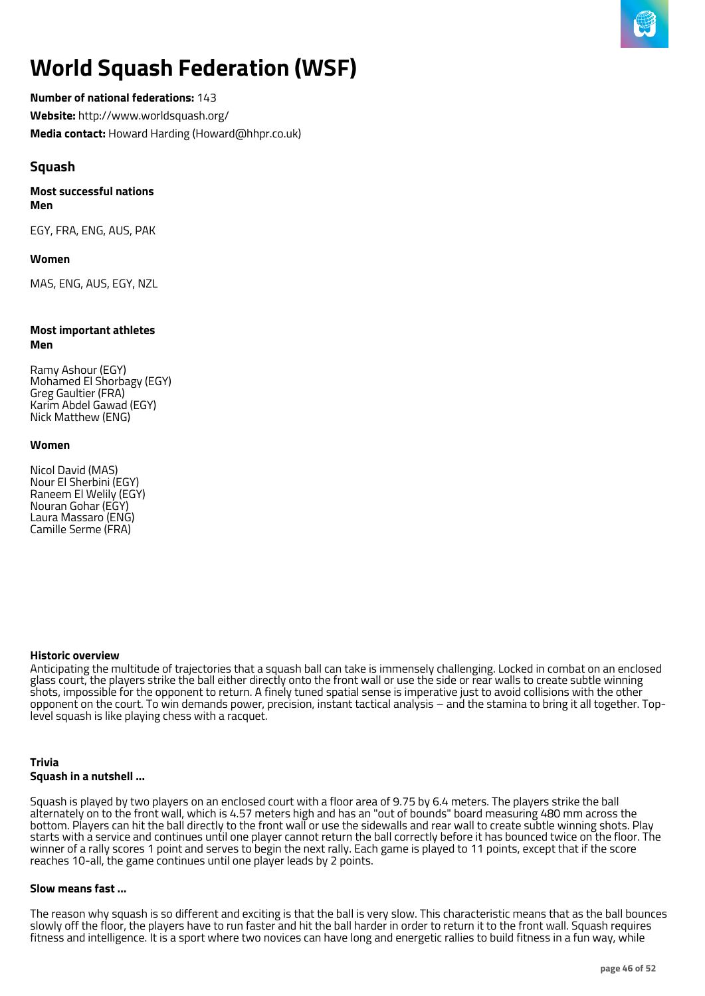

## <span id="page-45-0"></span>**World Squash Federation (WSF)**

**Number of national federations:** 143 **Website:** http://www.worldsquash.org/ **Media contact:** Howard Harding (Howard@hhpr.co.uk)

## **Squash**

**Most successful nations Men**

EGY, FRA, ENG, AUS, PAK

#### **Women**

MAS, ENG, AUS, EGY, NZL

#### **Most important athletes Men**

Ramy Ashour (EGY) Mohamed El Shorbagy (EGY) Greg Gaultier (FRA) Karim Abdel Gawad (EGY) Nick Matthew (ENG)

#### **Women**

Nicol David (MAS) Nour El Sherbini (EGY) Raneem El Welily (EGY) Nouran Gohar (EGY) Laura Massaro (ENG) Camille Serme (FRA)

#### **Historic overview**

Anticipating the multitude of trajectories that a squash ball can take is immensely challenging. Locked in combat on an enclosed glass court, the players strike the ball either directly onto the front wall or use the side or rear walls to create subtle winning shots, impossible for the opponent to return. A finely tuned spatial sense is imperative just to avoid collisions with the other opponent on the court. To win demands power, precision, instant tactical analysis – and the stamina to bring it all together. Toplevel squash is like playing chess with a racquet.

#### **Trivia Squash in a nutshell ...**

Squash is played by two players on an enclosed court with a floor area of 9.75 by 6.4 meters. The players strike the ball alternately on to the front wall, which is 4.57 meters high and has an "out of bounds" board measuring 480 mm across the bottom. Players can hit the ball directly to the front wall or use the sidewalls and rear wall to create subtle winning shots. Play starts with a service and continues until one player cannot return the ball correctly before it has bounced twice on the floor. The winner of a rally scores 1 point and serves to begin the next rally. Each game is played to 11 points, except that if the score reaches 10-all, the game continues until one player leads by 2 points.

## **Slow means fast ...**

The reason why squash is so different and exciting is that the ball is very slow. This characteristic means that as the ball bounces slowly off the floor, the players have to run faster and hit the ball harder in order to return it to the front wall. Squash requires fitness and intelligence. It is a sport where two novices can have long and energetic rallies to build fitness in a fun way, while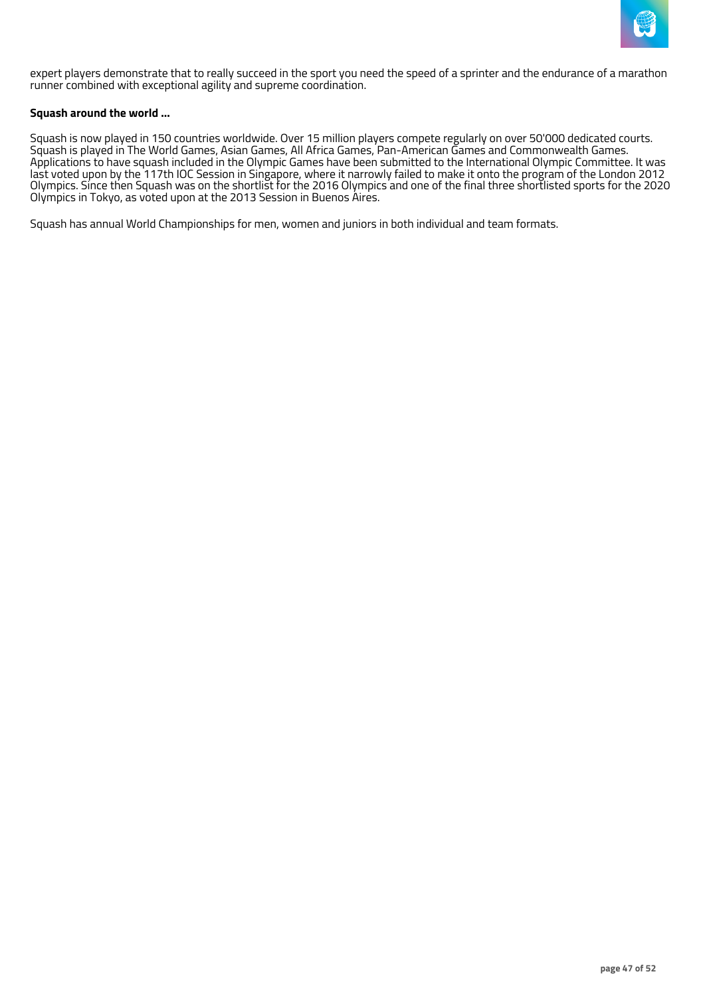

expert players demonstrate that to really succeed in the sport you need the speed of a sprinter and the endurance of a marathon runner combined with exceptional agility and supreme coordination.

#### **Squash around the world ...**

Squash is now played in 150 countries worldwide. Over 15 million players compete regularly on over 50'000 dedicated courts. Squash is played in The World Games, Asian Games, All Africa Games, Pan-American Games and Commonwealth Games. Applications to have squash included in the Olympic Games have been submitted to the International Olympic Committee. It was last voted upon by the 117th IOC Session in Singapore, where it narrowly failed to make it onto the program of the London 2012 Olympics. Since then Squash was on the shortlist for the 2016 Olympics and one of the final three shortlisted sports for the 2020 Olympics in Tokyo, as voted upon at the 2013 Session in Buenos Aires.

Squash has annual World Championships for men, women and juniors in both individual and team formats.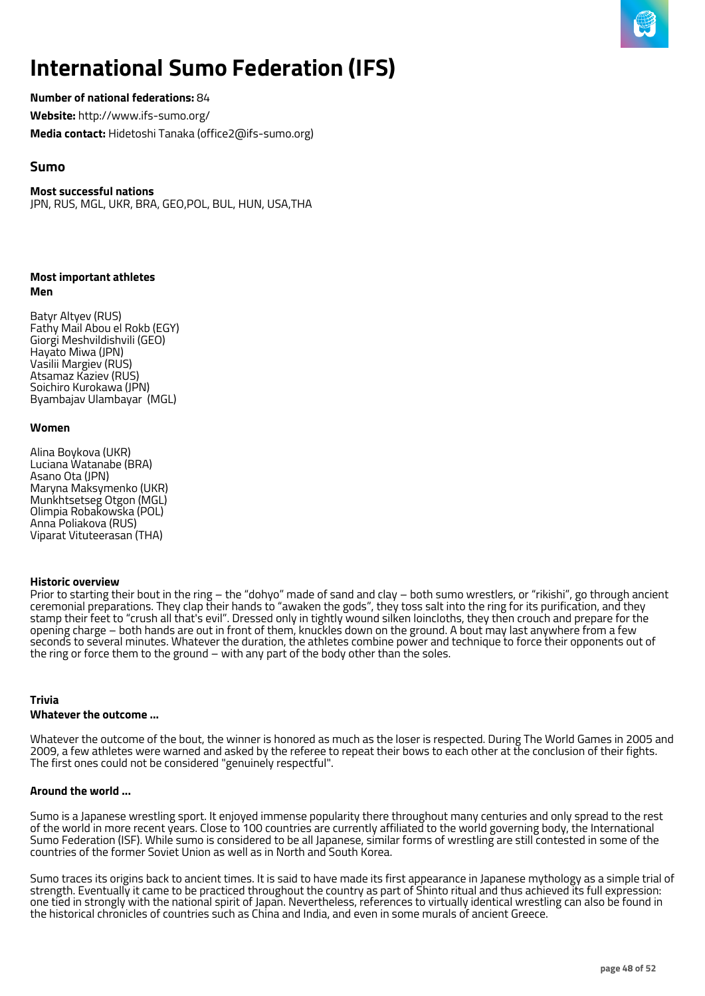

## <span id="page-47-0"></span>**International Sumo Federation (IFS)**

**Number of national federations:** 84

**Website:** http://www.ifs-sumo.org/ **Media contact:** Hidetoshi Tanaka (office2@ifs-sumo.org)

## **Sumo**

**Most successful nations**

JPN, RUS, MGL, UKR, BRA, GEO,POL, BUL, HUN, USA,THA

**Most important athletes Men**

Batyr Altyev (RUS) Fathy Mail Abou el Rokb (EGY) Giorgi Meshvildishvili (GEO) Hayato Miwa (JPN) Vasilii Margiev (RUS) Atsamaz Kaziev (RUS) Soichiro Kurokawa (JPN) Byambajav Ulambayar (MGL)

#### **Women**

Alina Boykova (UKR) Luciana Watanabe (BRA) Asano Ota (JPN) Maryna Maksymenko (UKR) Munkhtsetseg Otgon (MGL) Olimpia Robakowska (POL) Anna Poliakova (RUS) Viparat Vituteerasan (THA)

#### **Historic overview**

Prior to starting their bout in the ring – the "dohyo" made of sand and clay – both sumo wrestlers, or "rikishi", go through ancient ceremonial preparations. They clap their hands to "awaken the gods", they toss salt into the ring for its purification, and they stamp their feet to "crush all that's evil". Dressed only in tightly wound silken loincloths, they then crouch and prepare for the opening charge – both hands are out in front of them, knuckles down on the ground. A bout may last anywhere from a few seconds to several minutes. Whatever the duration, the athletes combine power and technique to force their opponents out of the ring or force them to the ground – with any part of the body other than the soles.

#### **Trivia**

#### **Whatever the outcome ...**

Whatever the outcome of the bout, the winner is honored as much as the loser is respected. During The World Games in 2005 and 2009, a few athletes were warned and asked by the referee to repeat their bows to each other at the conclusion of their fights. The first ones could not be considered "genuinely respectful".

## **Around the world ...**

Sumo is a Japanese wrestling sport. It enjoyed immense popularity there throughout many centuries and only spread to the rest of the world in more recent years. Close to 100 countries are currently affiliated to the world governing body, the International Sumo Federation (ISF). While sumo is considered to be all Japanese, similar forms of wrestling are still contested in some of the countries of the former Soviet Union as well as in North and South Korea.

Sumo traces its origins back to ancient times. It is said to have made its first appearance in Japanese mythology as a simple trial of strength. Eventually it came to be practiced throughout the country as part of Shinto ritual and thus achieved its full expression: one tied in strongly with the national spirit of Japan. Nevertheless, references to virtually identical wrestling can also be found in the historical chronicles of countries such as China and India, and even in some murals of ancient Greece.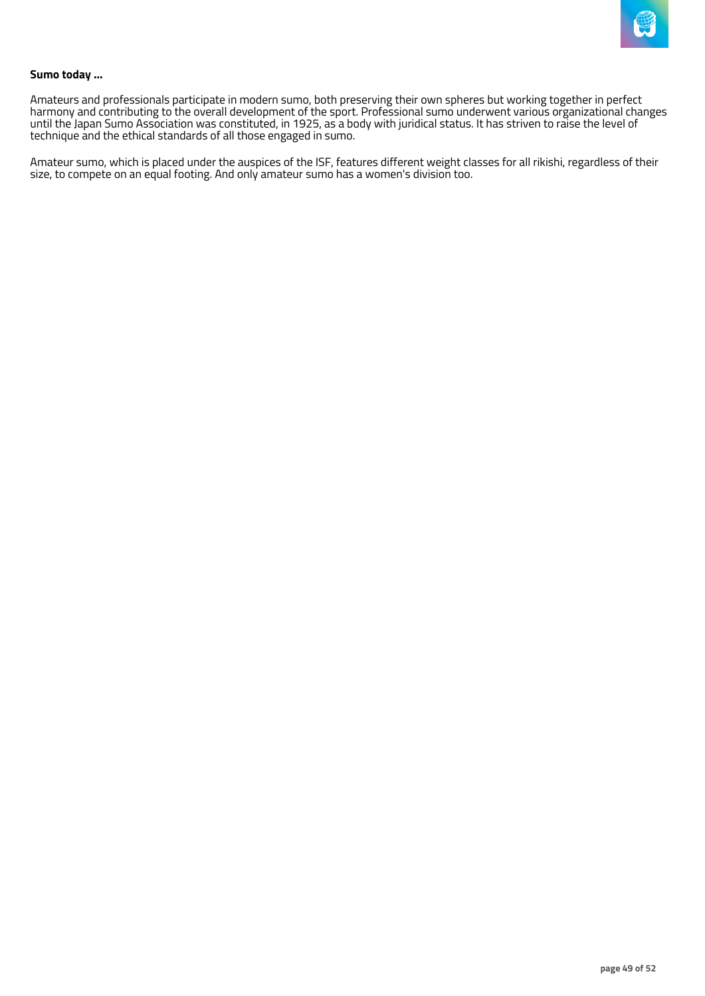

## **Sumo today ...**

Amateurs and professionals participate in modern sumo, both preserving their own spheres but working together in perfect harmony and contributing to the overall development of the sport. Professional sumo underwent various organizational changes until the Japan Sumo Association was constituted, in 1925, as a body with juridical status. It has striven to raise the level of technique and the ethical standards of all those engaged in sumo.

Amateur sumo, which is placed under the auspices of the ISF, features different weight classes for all rikishi, regardless of their size, to compete on an equal footing. And only amateur sumo has a women's division too.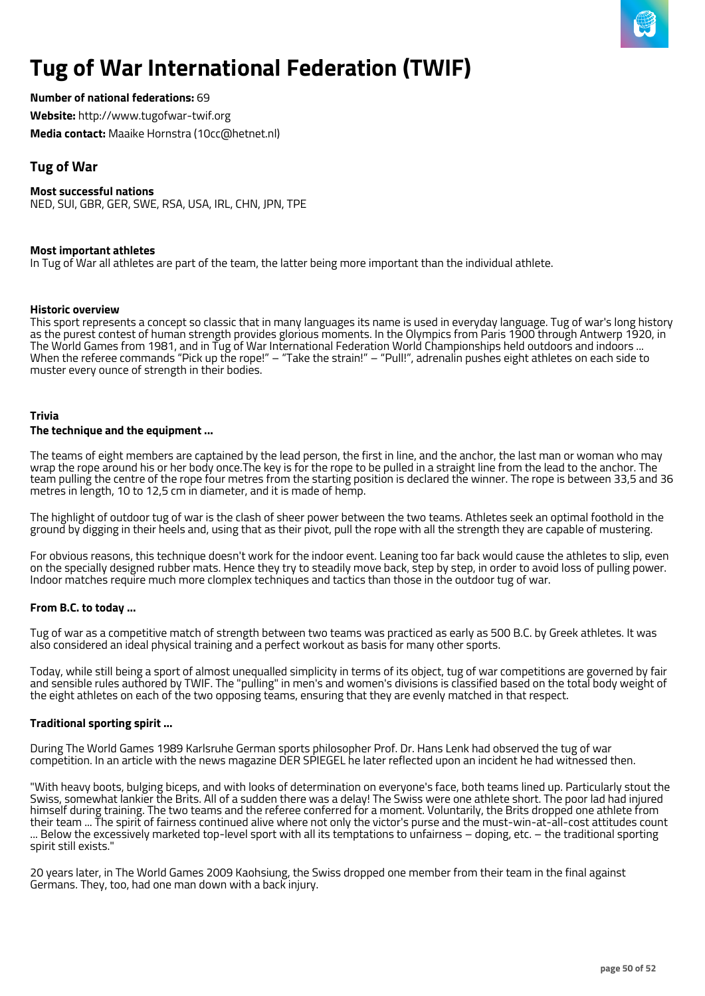## <span id="page-49-0"></span>**Tug of War International Federation (TWIF)**

## **Number of national federations:** 69

**Website:** http://www.tugofwar-twif.org **Media contact:** Maaike Hornstra (10cc@hetnet.nl)

## **Tug of War**

**Most successful nations** NED, SUI, GBR, GER, SWE, RSA, USA, IRL, CHN, JPN, TPE

#### **Most important athletes**

In Tug of War all athletes are part of the team, the latter being more important than the individual athlete.

#### **Historic overview**

This sport represents a concept so classic that in many languages its name is used in everyday language. Tug of war's long history as the purest contest of human strength provides glorious moments. In the Olympics from Paris 1900 through Antwerp 1920, in The World Games from 1981, and in Tug of War International Federation World Championships held outdoors and indoors ... When the referee commands "Pick up the rope!" – "Take the strain!" – "Pull!", adrenalin pushes eight athletes on each side to muster every ounce of strength in their bodies.

#### **Trivia**

#### **The technique and the equipment ...**

The teams of eight members are captained by the lead person, the first in line, and the anchor, the last man or woman who may wrap the rope around his or her body once.The key is for the rope to be pulled in a straight line from the lead to the anchor. The team pulling the centre of the rope four metres from the starting position is declared the winner. The rope is between 33,5 and 36 metres in length, 10 to 12,5 cm in diameter, and it is made of hemp.

The highlight of outdoor tug of war is the clash of sheer power between the two teams. Athletes seek an optimal foothold in the ground by digging in their heels and, using that as their pivot, pull the rope with all the strength they are capable of mustering.

For obvious reasons, this technique doesn't work for the indoor event. Leaning too far back would cause the athletes to slip, even on the specially designed rubber mats. Hence they try to steadily move back, step by step, in order to avoid loss of pulling power. Indoor matches require much more clomplex techniques and tactics than those in the outdoor tug of war.

#### **From B.C. to today ...**

Tug of war as a competitive match of strength between two teams was practiced as early as 500 B.C. by Greek athletes. It was also considered an ideal physical training and a perfect workout as basis for many other sports.

Today, while still being a sport of almost unequalled simplicity in terms of its object, tug of war competitions are governed by fair and sensible rules authored by TWIF. The "pulling" in men's and women's divisions is classified based on the total body weight of the eight athletes on each of the two opposing teams, ensuring that they are evenly matched in that respect.

#### **Traditional sporting spirit ...**

During The World Games 1989 Karlsruhe German sports philosopher Prof. Dr. Hans Lenk had observed the tug of war competition. In an article with the news magazine DER SPIEGEL he later reflected upon an incident he had witnessed then.

"With heavy boots, bulging biceps, and with looks of determination on everyone's face, both teams lined up. Particularly stout the Swiss, somewhat lankier the Brits. All of a sudden there was a delay! The Swiss were one athlete short. The poor lad had injured himself during training. The two teams and the referee conferred for a moment. Voluntarily, the Brits dropped one athlete from their team ... The spirit of fairness continued alive where not only the victor's purse and the must-win-at-all-cost attitudes count ... Below the excessively marketed top-level sport with all its temptations to unfairness – doping, etc. – the traditional sporting spirit still exists."

20 years later, in The World Games 2009 Kaohsiung, the Swiss dropped one member from their team in the final against Germans. They, too, had one man down with a back injury.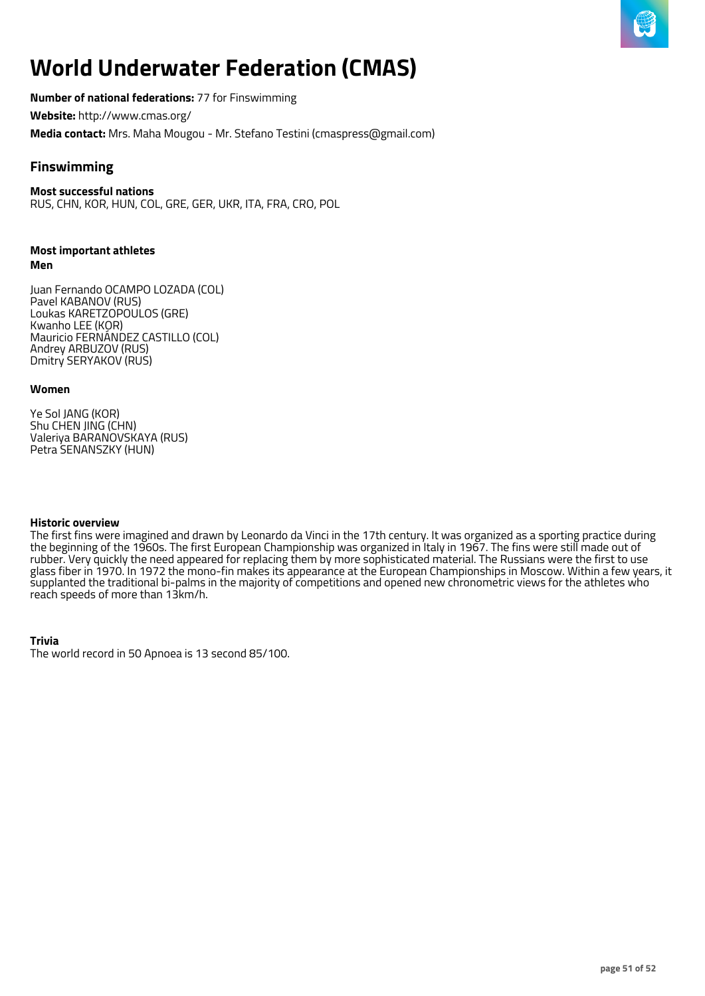## <span id="page-50-0"></span>**World Underwater Federation (CMAS)**

**Number of national federations:** 77 for Finswimming **Website:** http://www.cmas.org/ **Media contact:** Mrs. Maha Mougou - Mr. Stefano Testini (cmaspress@gmail.com)

## **Finswimming**

**Most successful nations** RUS, CHN, KOR, HUN, COL, GRE, GER, UKR, ITA, FRA, CRO, POL

#### **Most important athletes Men**

Juan Fernando OCAMPO LOZADA (COL) Pavel KABANOV (RUS) Loukas KARETZOPOULOS (GRE) Kwanho LEE (KOR) Mauricio FERNÁNDEZ CASTILLO (COL) Andrey ARBUZOV (RUS) Dmitry SERYAKOV (RUS)

#### **Women**

Ye Sol JANG (KOR) Shu CHEN JING (CHN) Valeriya BARANOVSKAYA (RUS) Petra SENANSZKY (HUN)

#### **Historic overview**

The first fins were imagined and drawn by Leonardo da Vinci in the 17th century. It was organized as a sporting practice during the beginning of the 1960s. The first European Championship was organized in Italy in 1967. The fins were still made out of rubber. Very quickly the need appeared for replacing them by more sophisticated material. The Russians were the first to use glass fiber in 1970. In 1972 the mono-fin makes its appearance at the European Championships in Moscow. Within a few years, it supplanted the traditional bi-palms in the majority of competitions and opened new chronometric views for the athletes who reach speeds of more than 13km/h.

## **Trivia**

The world record in 50 Apnoea is 13 second 85/100.